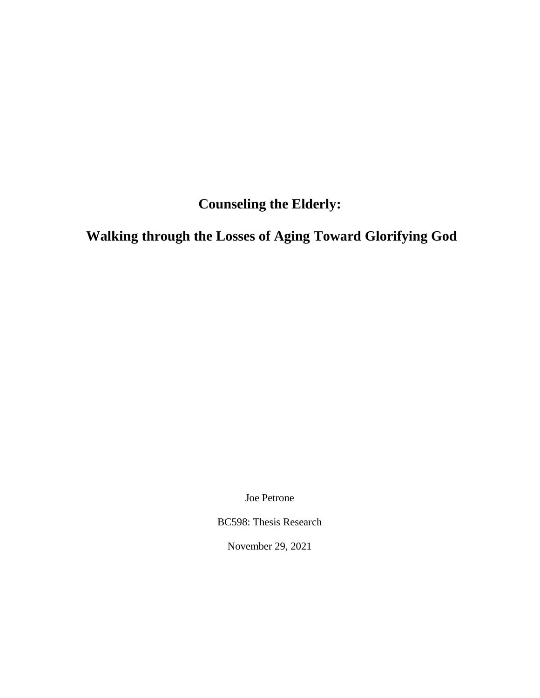**Counseling the Elderly:**

**Walking through the Losses of Aging Toward Glorifying God**

Joe Petrone

BC598: Thesis Research

November 29, 2021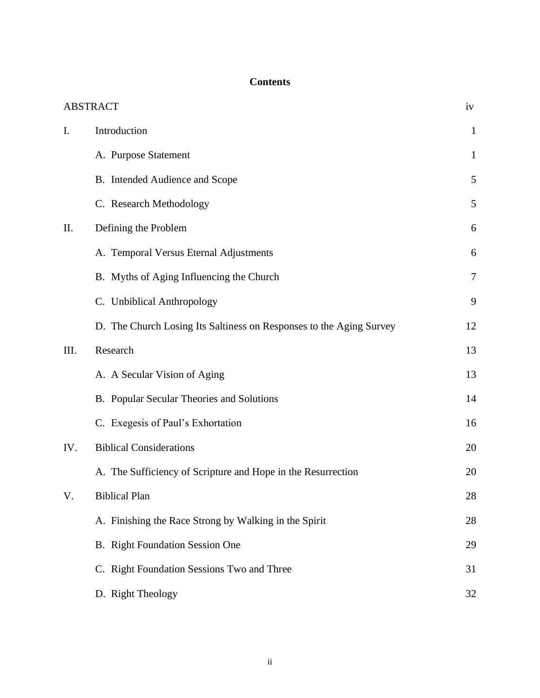# **Contents**

| <b>ABSTRACT</b> |                                                                     | iv           |
|-----------------|---------------------------------------------------------------------|--------------|
| I.              | Introduction                                                        | $\mathbf{1}$ |
|                 | A. Purpose Statement                                                | $\mathbf{1}$ |
|                 | B. Intended Audience and Scope                                      | 5            |
|                 | C. Research Methodology                                             | 5            |
| II.             | Defining the Problem                                                | 6            |
|                 | A. Temporal Versus Eternal Adjustments                              | 6            |
|                 | B. Myths of Aging Influencing the Church                            | 7            |
|                 | C. Unbiblical Anthropology                                          | 9            |
|                 | D. The Church Losing Its Saltiness on Responses to the Aging Survey | 12           |
| III.            | Research                                                            | 13           |
|                 | A. A Secular Vision of Aging                                        | 13           |
|                 | B. Popular Secular Theories and Solutions                           | 14           |
|                 | C. Exegesis of Paul's Exhortation                                   | 16           |
| IV.             | <b>Biblical Considerations</b>                                      | 20           |
|                 | A. The Sufficiency of Scripture and Hope in the Resurrection        | 20           |
| V.              | <b>Biblical Plan</b>                                                | 28           |
|                 | A. Finishing the Race Strong by Walking in the Spirit               | 28           |
|                 | B. Right Foundation Session One                                     | 29           |
|                 | C. Right Foundation Sessions Two and Three                          | 31           |
|                 | D. Right Theology                                                   | 32           |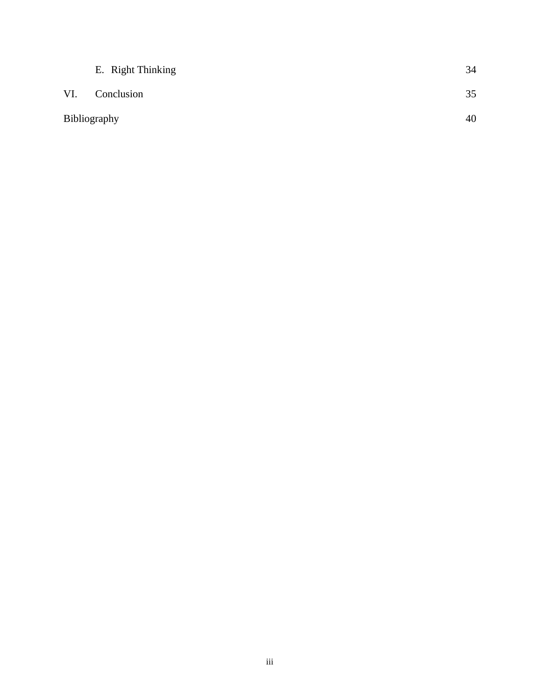|              | E. Right Thinking | 34 |
|--------------|-------------------|----|
| VI.          | Conclusion        | 35 |
| Bibliography |                   | 40 |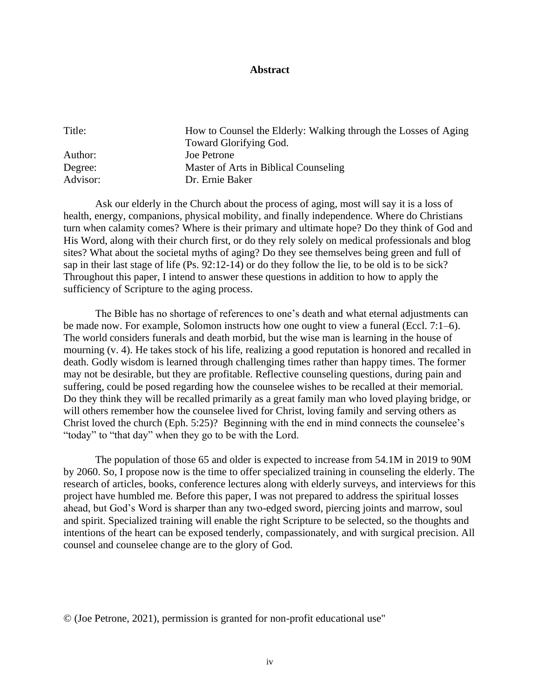#### **Abstract**

| Title:   | How to Counsel the Elderly: Walking through the Losses of Aging |
|----------|-----------------------------------------------------------------|
|          | Toward Glorifying God.                                          |
| Author:  | Joe Petrone                                                     |
| Degree:  | Master of Arts in Biblical Counseling                           |
| Advisor: | Dr. Ernie Baker                                                 |

Ask our elderly in the Church about the process of aging, most will say it is a loss of health, energy, companions, physical mobility, and finally independence. Where do Christians turn when calamity comes? Where is their primary and ultimate hope? Do they think of God and His Word, along with their church first, or do they rely solely on medical professionals and blog sites? What about the societal myths of aging? Do they see themselves being green and full of sap in their last stage of life (Ps. 92:12-14) or do they follow the lie, to be old is to be sick? Throughout this paper, I intend to answer these questions in addition to how to apply the sufficiency of Scripture to the aging process.

The Bible has no shortage of references to one's death and what eternal adjustments can be made now. For example, Solomon instructs how one ought to view a funeral (Eccl. 7:1–6). The world considers funerals and death morbid, but the wise man is learning in the house of mourning (v. 4). He takes stock of his life, realizing a good reputation is honored and recalled in death. Godly wisdom is learned through challenging times rather than happy times. The former may not be desirable, but they are profitable. Reflective counseling questions, during pain and suffering, could be posed regarding how the counselee wishes to be recalled at their memorial. Do they think they will be recalled primarily as a great family man who loved playing bridge, or will others remember how the counselee lived for Christ, loving family and serving others as Christ loved the church (Eph. 5:25)? Beginning with the end in mind connects the counselee's "today" to "that day" when they go to be with the Lord.

The population of those 65 and older is expected to increase from 54.1M in 2019 to 90M by 2060. So, I propose now is the time to offer specialized training in counseling the elderly. The research of articles, books, conference lectures along with elderly surveys, and interviews for this project have humbled me. Before this paper, I was not prepared to address the spiritual losses ahead, but God's Word is sharper than any two-edged sword, piercing joints and marrow, soul and spirit. Specialized training will enable the right Scripture to be selected, so the thoughts and intentions of the heart can be exposed tenderly, compassionately, and with surgical precision. All counsel and counselee change are to the glory of God.

© (Joe Petrone, 2021), permission is granted for non-profit educational use"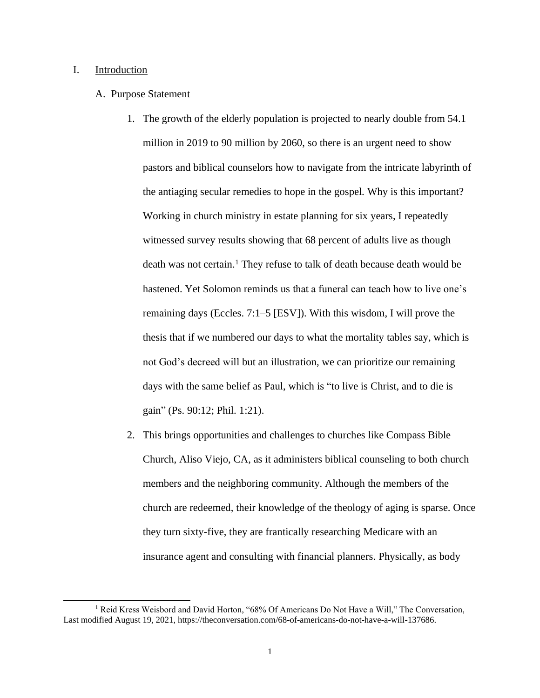#### I. Introduction

- A. Purpose Statement
	- 1. The growth of the elderly population is projected to nearly double from 54.1 million in 2019 to 90 million by 2060, so there is an urgent need to show pastors and biblical counselors how to navigate from the intricate labyrinth of the antiaging secular remedies to hope in the gospel. Why is this important? Working in church ministry in estate planning for six years, I repeatedly witnessed survey results showing that 68 percent of adults live as though death was not certain.<sup>1</sup> They refuse to talk of death because death would be hastened. Yet Solomon reminds us that a funeral can teach how to live one's remaining days (Eccles. 7:1–5 [ESV]). With this wisdom, I will prove the thesis that if we numbered our days to what the mortality tables say, which is not God's decreed will but an illustration, we can prioritize our remaining days with the same belief as Paul, which is "to live is Christ, and to die is gain" (Ps. 90:12; Phil. 1:21).
	- 2. This brings opportunities and challenges to churches like Compass Bible Church, Aliso Viejo, CA, as it administers biblical counseling to both church members and the neighboring community. Although the members of the church are redeemed, their knowledge of the theology of aging is sparse. Once they turn sixty-five, they are frantically researching Medicare with an insurance agent and consulting with financial planners. Physically, as body

<sup>&</sup>lt;sup>1</sup> Reid Kress Weisbord and David Horton, "68% Of Americans Do Not Have a Will," The Conversation, Last modified August 19, 2021, https://theconversation.com/68-of-americans-do-not-have-a-will-137686.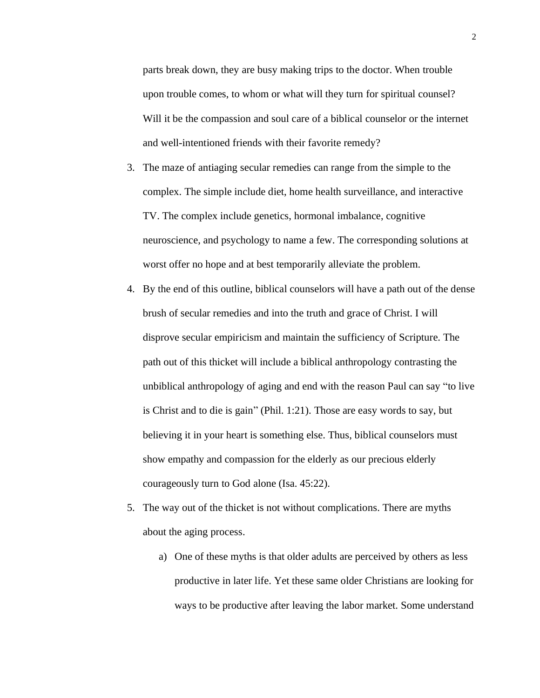parts break down, they are busy making trips to the doctor. When trouble upon trouble comes, to whom or what will they turn for spiritual counsel? Will it be the compassion and soul care of a biblical counselor or the internet and well-intentioned friends with their favorite remedy?

- 3. The maze of antiaging secular remedies can range from the simple to the complex. The simple include diet, home health surveillance, and interactive TV. The complex include genetics, hormonal imbalance, cognitive neuroscience, and psychology to name a few. The corresponding solutions at worst offer no hope and at best temporarily alleviate the problem.
- 4. By the end of this outline, biblical counselors will have a path out of the dense brush of secular remedies and into the truth and grace of Christ. I will disprove secular empiricism and maintain the sufficiency of Scripture. The path out of this thicket will include a biblical anthropology contrasting the unbiblical anthropology of aging and end with the reason Paul can say "to live is Christ and to die is gain" (Phil. 1:21). Those are easy words to say, but believing it in your heart is something else. Thus, biblical counselors must show empathy and compassion for the elderly as our precious elderly courageously turn to God alone (Isa. 45:22).
- 5. The way out of the thicket is not without complications. There are myths about the aging process.
	- a) One of these myths is that older adults are perceived by others as less productive in later life. Yet these same older Christians are looking for ways to be productive after leaving the labor market. Some understand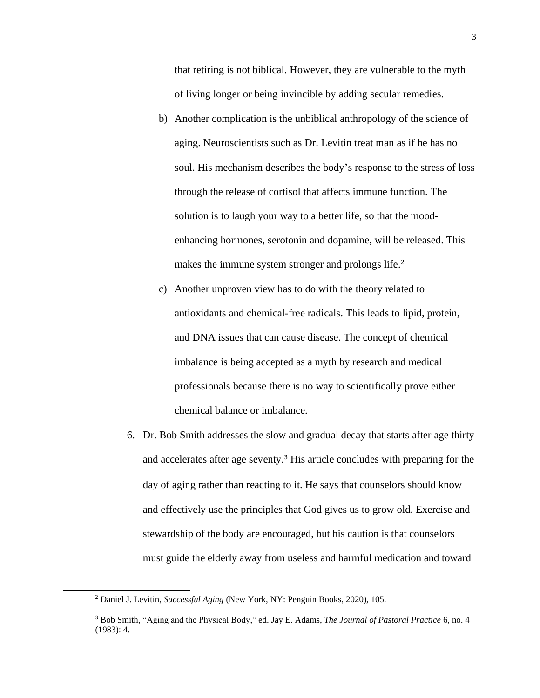that retiring is not biblical. However, they are vulnerable to the myth of living longer or being invincible by adding secular remedies.

- b) Another complication is the unbiblical anthropology of the science of aging. Neuroscientists such as Dr. Levitin treat man as if he has no soul. His mechanism describes the body's response to the stress of loss through the release of cortisol that affects immune function. The solution is to laugh your way to a better life, so that the moodenhancing hormones, serotonin and dopamine, will be released. This makes the immune system stronger and prolongs life.<sup>2</sup>
- c) Another unproven view has to do with the theory related to antioxidants and chemical-free radicals. This leads to lipid, protein, and DNA issues that can cause disease. The concept of chemical imbalance is being accepted as a myth by research and medical professionals because there is no way to scientifically prove either chemical balance or imbalance.
- 6. Dr. Bob Smith addresses the slow and gradual decay that starts after age thirty and accelerates after age seventy. <sup>3</sup> His article concludes with preparing for the day of aging rather than reacting to it. He says that counselors should know and effectively use the principles that God gives us to grow old. Exercise and stewardship of the body are encouraged, but his caution is that counselors must guide the elderly away from useless and harmful medication and toward

<sup>2</sup> Daniel J. Levitin, *Successful Aging* (New York, NY: Penguin Books, 2020), 105.

<sup>3</sup> Bob Smith, "Aging and the Physical Body," ed. Jay E. Adams, *The Journal of Pastoral Practice* 6, no. 4 (1983): 4.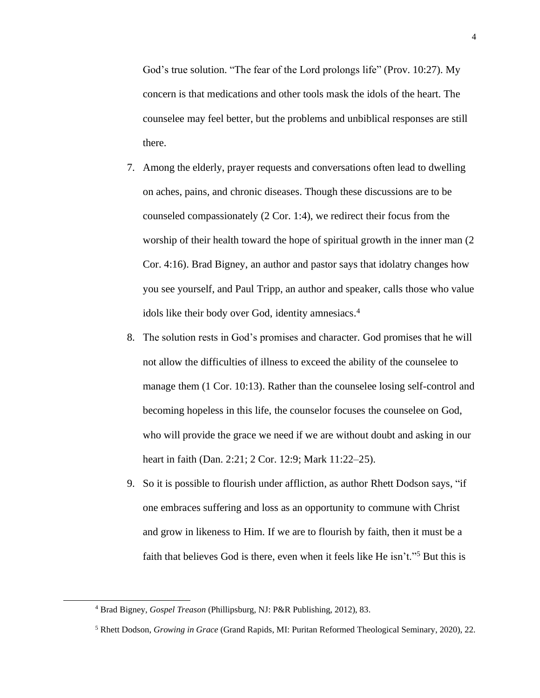God's true solution. "The fear of the Lord prolongs life" (Prov. 10:27). My concern is that medications and other tools mask the idols of the heart. The counselee may feel better, but the problems and unbiblical responses are still there.

- 7. Among the elderly, prayer requests and conversations often lead to dwelling on aches, pains, and chronic diseases. Though these discussions are to be counseled compassionately (2 Cor. 1:4), we redirect their focus from the worship of their health toward the hope of spiritual growth in the inner man (2 Cor. 4:16). Brad Bigney, an author and pastor says that idolatry changes how you see yourself, and Paul Tripp, an author and speaker, calls those who value idols like their body over God, identity amnesiacs. 4
- 8. The solution rests in God's promises and character. God promises that he will not allow the difficulties of illness to exceed the ability of the counselee to manage them (1 Cor. 10:13). Rather than the counselee losing self-control and becoming hopeless in this life, the counselor focuses the counselee on God, who will provide the grace we need if we are without doubt and asking in our heart in faith (Dan. 2:21; 2 Cor. 12:9; Mark 11:22–25).
- 9. So it is possible to flourish under affliction, as author Rhett Dodson says, "if one embraces suffering and loss as an opportunity to commune with Christ and grow in likeness to Him. If we are to flourish by faith, then it must be a faith that believes God is there, even when it feels like He isn't." <sup>5</sup> But this is

<sup>4</sup> Brad Bigney, *Gospel Treason* (Phillipsburg, NJ: P&R Publishing, 2012), 83.

<sup>5</sup> Rhett Dodson, *Growing in Grace* (Grand Rapids, MI: Puritan Reformed Theological Seminary, 2020), 22.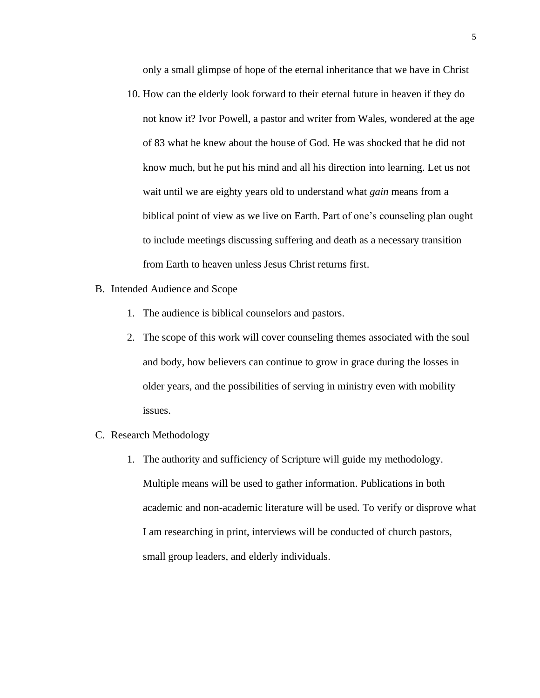only a small glimpse of hope of the eternal inheritance that we have in Christ

- 10. How can the elderly look forward to their eternal future in heaven if they do not know it? Ivor Powell, a pastor and writer from Wales, wondered at the age of 83 what he knew about the house of God. He was shocked that he did not know much, but he put his mind and all his direction into learning. Let us not wait until we are eighty years old to understand what *gain* means from a biblical point of view as we live on Earth. Part of one's counseling plan ought to include meetings discussing suffering and death as a necessary transition from Earth to heaven unless Jesus Christ returns first.
- B. Intended Audience and Scope
	- 1. The audience is biblical counselors and pastors.
	- 2. The scope of this work will cover counseling themes associated with the soul and body, how believers can continue to grow in grace during the losses in older years, and the possibilities of serving in ministry even with mobility issues.
- C. Research Methodology
	- 1. The authority and sufficiency of Scripture will guide my methodology. Multiple means will be used to gather information. Publications in both academic and non-academic literature will be used. To verify or disprove what I am researching in print, interviews will be conducted of church pastors, small group leaders, and elderly individuals.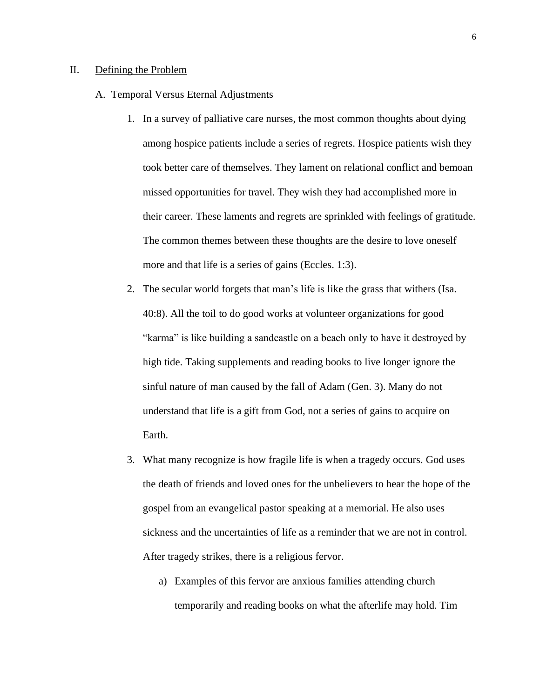#### II. Defining the Problem

- A. Temporal Versus Eternal Adjustments
	- 1. In a survey of palliative care nurses, the most common thoughts about dying among hospice patients include a series of regrets. Hospice patients wish they took better care of themselves. They lament on relational conflict and bemoan missed opportunities for travel. They wish they had accomplished more in their career. These laments and regrets are sprinkled with feelings of gratitude. The common themes between these thoughts are the desire to love oneself more and that life is a series of gains (Eccles. 1:3).
	- 2. The secular world forgets that man's life is like the grass that withers (Isa. 40:8). All the toil to do good works at volunteer organizations for good "karma" is like building a sandcastle on a beach only to have it destroyed by high tide. Taking supplements and reading books to live longer ignore the sinful nature of man caused by the fall of Adam (Gen. 3). Many do not understand that life is a gift from God, not a series of gains to acquire on Earth.
	- 3. What many recognize is how fragile life is when a tragedy occurs. God uses the death of friends and loved ones for the unbelievers to hear the hope of the gospel from an evangelical pastor speaking at a memorial. He also uses sickness and the uncertainties of life as a reminder that we are not in control. After tragedy strikes, there is a religious fervor.
		- a) Examples of this fervor are anxious families attending church temporarily and reading books on what the afterlife may hold. Tim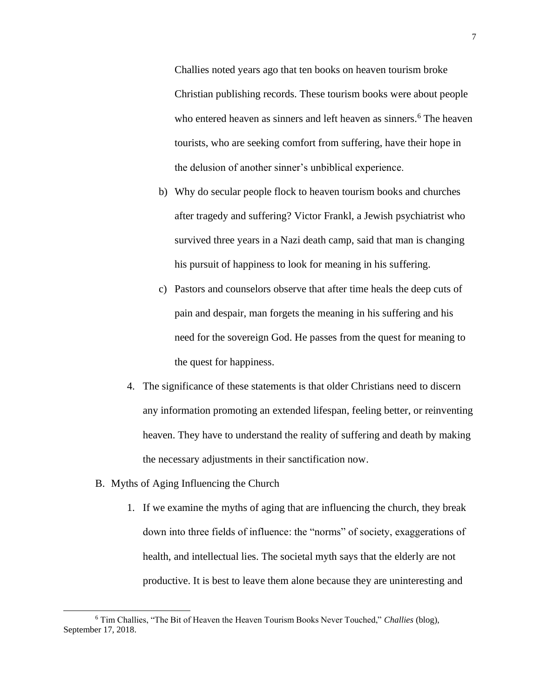Challies noted years ago that ten books on heaven tourism broke Christian publishing records. These tourism books were about people who entered heaven as sinners and left heaven as sinners.<sup>6</sup> The heaven tourists, who are seeking comfort from suffering, have their hope in the delusion of another sinner's unbiblical experience.

- b) Why do secular people flock to heaven tourism books and churches after tragedy and suffering? Victor Frankl, a Jewish psychiatrist who survived three years in a Nazi death camp, said that man is changing his pursuit of happiness to look for meaning in his suffering.
- c) Pastors and counselors observe that after time heals the deep cuts of pain and despair, man forgets the meaning in his suffering and his need for the sovereign God. He passes from the quest for meaning to the quest for happiness.
- 4. The significance of these statements is that older Christians need to discern any information promoting an extended lifespan, feeling better, or reinventing heaven. They have to understand the reality of suffering and death by making the necessary adjustments in their sanctification now.
- B. Myths of Aging Influencing the Church
	- 1. If we examine the myths of aging that are influencing the church, they break down into three fields of influence: the "norms" of society, exaggerations of health, and intellectual lies. The societal myth says that the elderly are not productive. It is best to leave them alone because they are uninteresting and

<sup>6</sup> Tim Challies, "The Bit of Heaven the Heaven Tourism Books Never Touched," *Challies* (blog), September 17, 2018.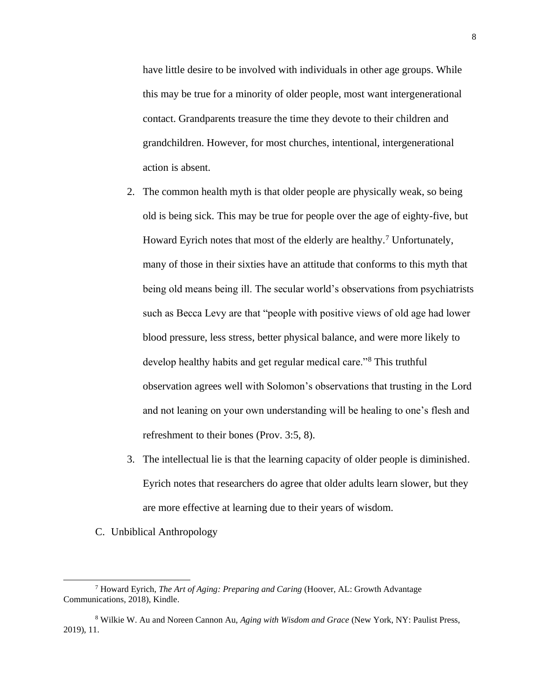have little desire to be involved with individuals in other age groups. While this may be true for a minority of older people, most want intergenerational contact. Grandparents treasure the time they devote to their children and grandchildren. However, for most churches, intentional, intergenerational action is absent.

- 2. The common health myth is that older people are physically weak, so being old is being sick. This may be true for people over the age of eighty-five, but Howard Eyrich notes that most of the elderly are healthy.<sup>7</sup> Unfortunately, many of those in their sixties have an attitude that conforms to this myth that being old means being ill. The secular world's observations from psychiatrists such as Becca Levy are that "people with positive views of old age had lower blood pressure, less stress, better physical balance, and were more likely to develop healthy habits and get regular medical care."<sup>8</sup> This truthful observation agrees well with Solomon's observations that trusting in the Lord and not leaning on your own understanding will be healing to one's flesh and refreshment to their bones (Prov. 3:5, 8).
- 3. The intellectual lie is that the learning capacity of older people is diminished. Eyrich notes that researchers do agree that older adults learn slower, but they are more effective at learning due to their years of wisdom.
- C. Unbiblical Anthropology

<sup>7</sup> Howard Eyrich, *The Art of Aging: Preparing and Caring* (Hoover, AL: Growth Advantage Communications, 2018), Kindle.

<sup>8</sup> Wilkie W. Au and Noreen Cannon Au, *Aging with Wisdom and Grace* (New York, NY: Paulist Press, 2019), 11.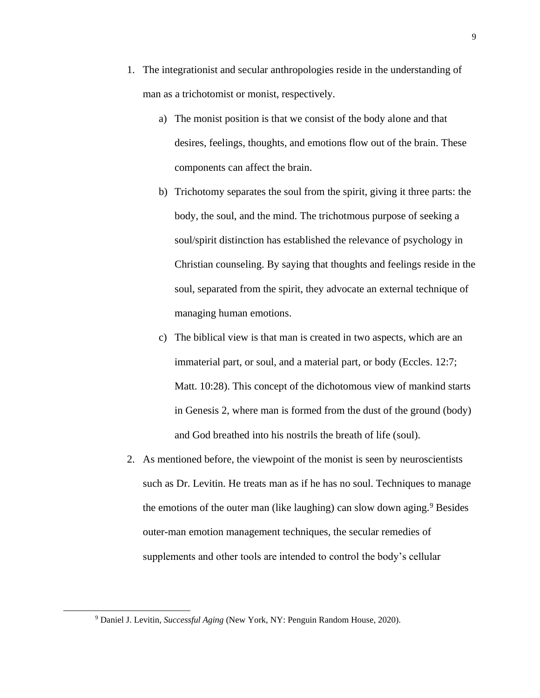- 1. The integrationist and secular anthropologies reside in the understanding of man as a trichotomist or monist, respectively.
	- a) The monist position is that we consist of the body alone and that desires, feelings, thoughts, and emotions flow out of the brain. These components can affect the brain.
	- b) Trichotomy separates the soul from the spirit, giving it three parts: the body, the soul, and the mind. The trichotmous purpose of seeking a soul/spirit distinction has established the relevance of psychology in Christian counseling. By saying that thoughts and feelings reside in the soul, separated from the spirit, they advocate an external technique of managing human emotions.
	- c) The biblical view is that man is created in two aspects, which are an immaterial part, or soul, and a material part, or body (Eccles. 12:7; Matt. 10:28). This concept of the dichotomous view of mankind starts in Genesis 2, where man is formed from the dust of the ground (body) and God breathed into his nostrils the breath of life (soul).
- 2. As mentioned before, the viewpoint of the monist is seen by neuroscientists such as Dr. Levitin. He treats man as if he has no soul. Techniques to manage the emotions of the outer man (like laughing) can slow down aging.<sup>9</sup> Besides outer-man emotion management techniques, the secular remedies of supplements and other tools are intended to control the body's cellular

<sup>9</sup> Daniel J. Levitin, *Successful Aging* (New York, NY: Penguin Random House, 2020).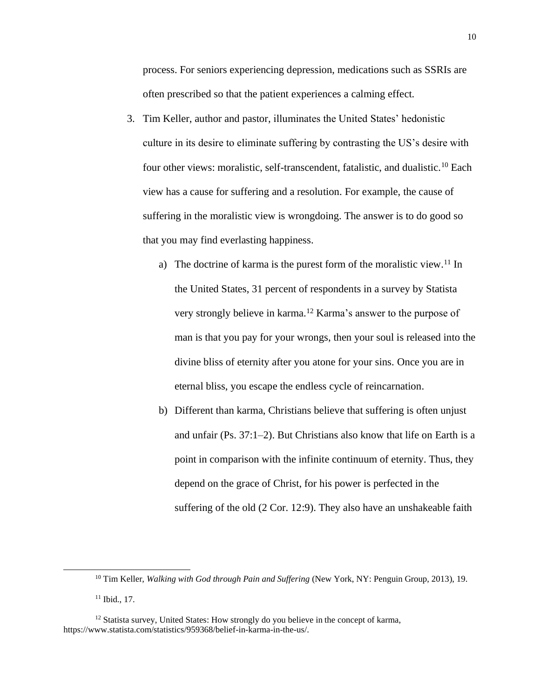process. For seniors experiencing depression, medications such as SSRIs are often prescribed so that the patient experiences a calming effect.

- 3. Tim Keller, author and pastor, illuminates the United States' hedonistic culture in its desire to eliminate suffering by contrasting the US's desire with four other views: moralistic, self-transcendent, fatalistic, and dualistic.<sup>10</sup> Each view has a cause for suffering and a resolution. For example, the cause of suffering in the moralistic view is wrongdoing. The answer is to do good so that you may find everlasting happiness.
	- a) The doctrine of karma is the purest form of the moralistic view.<sup>11</sup> In the United States, 31 percent of respondents in a survey by Statista very strongly believe in karma.<sup>12</sup> Karma's answer to the purpose of man is that you pay for your wrongs, then your soul is released into the divine bliss of eternity after you atone for your sins. Once you are in eternal bliss, you escape the endless cycle of reincarnation.
	- b) Different than karma, Christians believe that suffering is often unjust and unfair (Ps. 37:1–2). But Christians also know that life on Earth is a point in comparison with the infinite continuum of eternity. Thus, they depend on the grace of Christ, for his power is perfected in the suffering of the old (2 Cor. 12:9). They also have an unshakeable faith

<sup>10</sup> Tim Keller, *Walking with God through Pain and Suffering* (New York, NY: Penguin Group, 2013), 19.

 $11$  Ibid., 17.

<sup>&</sup>lt;sup>12</sup> Statista survey, United States: How strongly do you believe in the concept of karma, https://www.statista.com/statistics/959368/belief-in-karma-in-the-us/.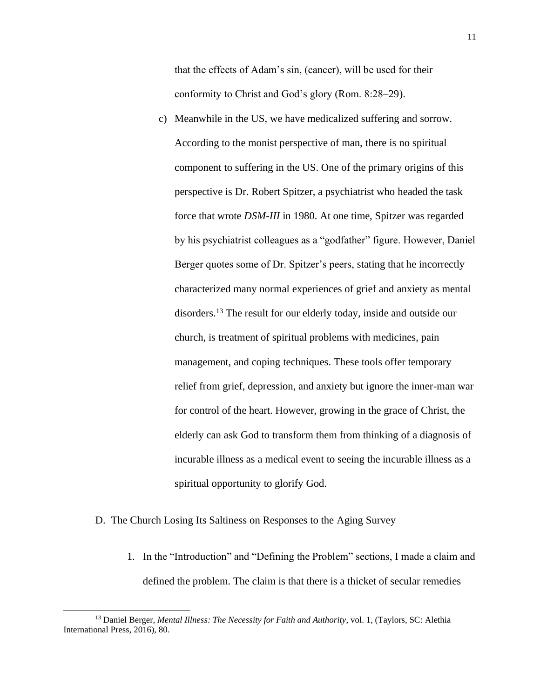that the effects of Adam's sin, (cancer), will be used for their conformity to Christ and God's glory (Rom. 8:28–29).

c) Meanwhile in the US, we have medicalized suffering and sorrow. According to the monist perspective of man, there is no spiritual component to suffering in the US. One of the primary origins of this perspective is Dr. Robert Spitzer, a psychiatrist who headed the task force that wrote *DSM-III* in 1980. At one time, Spitzer was regarded by his psychiatrist colleagues as a "godfather" figure. However, Daniel Berger quotes some of Dr. Spitzer's peers, stating that he incorrectly characterized many normal experiences of grief and anxiety as mental disorders.<sup>13</sup> The result for our elderly today, inside and outside our church, is treatment of spiritual problems with medicines, pain management, and coping techniques. These tools offer temporary relief from grief, depression, and anxiety but ignore the inner-man war for control of the heart. However, growing in the grace of Christ, the elderly can ask God to transform them from thinking of a diagnosis of incurable illness as a medical event to seeing the incurable illness as a spiritual opportunity to glorify God.

## D. The Church Losing Its Saltiness on Responses to the Aging Survey

1. In the "Introduction" and "Defining the Problem" sections, I made a claim and defined the problem. The claim is that there is a thicket of secular remedies

<sup>13</sup> Daniel Berger, *Mental Illness: The Necessity for Faith and Authority*, vol. 1, (Taylors, SC: Alethia International Press, 2016), 80.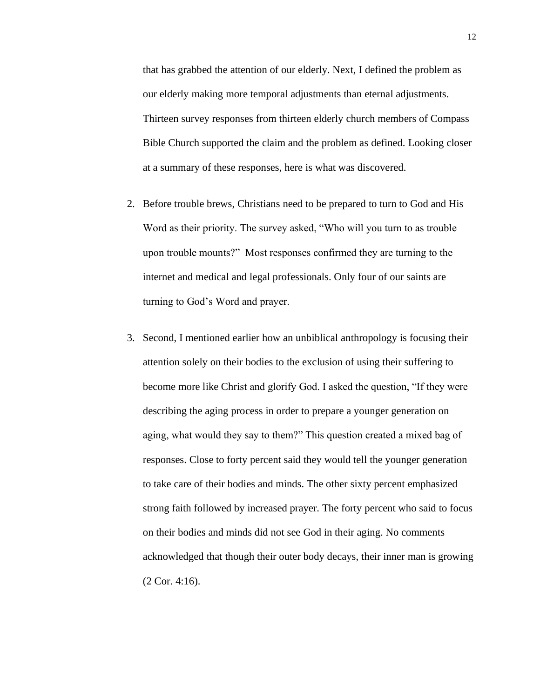that has grabbed the attention of our elderly. Next, I defined the problem as our elderly making more temporal adjustments than eternal adjustments. Thirteen survey responses from thirteen elderly church members of Compass Bible Church supported the claim and the problem as defined. Looking closer at a summary of these responses, here is what was discovered.

- 2. Before trouble brews, Christians need to be prepared to turn to God and His Word as their priority. The survey asked, "Who will you turn to as trouble upon trouble mounts?" Most responses confirmed they are turning to the internet and medical and legal professionals. Only four of our saints are turning to God's Word and prayer.
- 3. Second, I mentioned earlier how an unbiblical anthropology is focusing their attention solely on their bodies to the exclusion of using their suffering to become more like Christ and glorify God. I asked the question, "If they were describing the aging process in order to prepare a younger generation on aging, what would they say to them?" This question created a mixed bag of responses. Close to forty percent said they would tell the younger generation to take care of their bodies and minds. The other sixty percent emphasized strong faith followed by increased prayer. The forty percent who said to focus on their bodies and minds did not see God in their aging. No comments acknowledged that though their outer body decays, their inner man is growing (2 Cor. 4:16).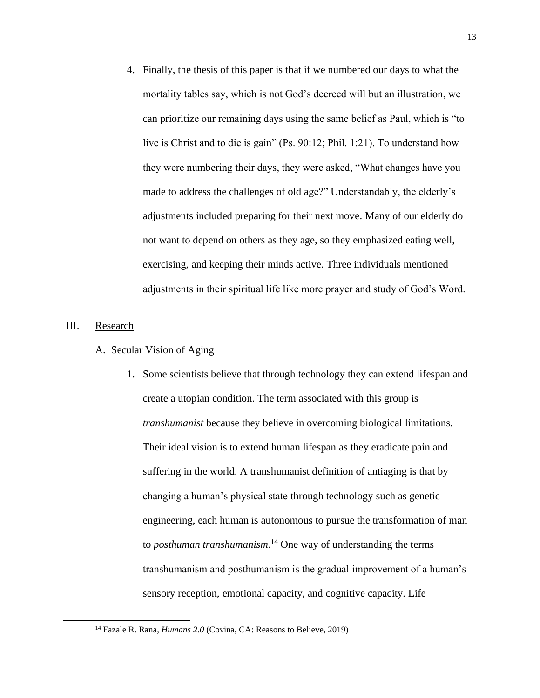4. Finally, the thesis of this paper is that if we numbered our days to what the mortality tables say, which is not God's decreed will but an illustration, we can prioritize our remaining days using the same belief as Paul, which is "to live is Christ and to die is gain" (Ps. 90:12; Phil. 1:21). To understand how they were numbering their days, they were asked, "What changes have you made to address the challenges of old age?" Understandably, the elderly's adjustments included preparing for their next move. Many of our elderly do not want to depend on others as they age, so they emphasized eating well, exercising, and keeping their minds active. Three individuals mentioned adjustments in their spiritual life like more prayer and study of God's Word.

## III. Research

## A. Secular Vision of Aging

1. Some scientists believe that through technology they can extend lifespan and create a utopian condition. The term associated with this group is *transhumanist* because they believe in overcoming biological limitations. Their ideal vision is to extend human lifespan as they eradicate pain and suffering in the world. A transhumanist definition of antiaging is that by changing a human's physical state through technology such as genetic engineering, each human is autonomous to pursue the transformation of man to *posthuman transhumanism*. <sup>14</sup> One way of understanding the terms transhumanism and posthumanism is the gradual improvement of a human's sensory reception, emotional capacity, and cognitive capacity. Life

<sup>14</sup> Fazale R. Rana*, Humans 2.0* (Covina, CA: Reasons to Believe, 2019)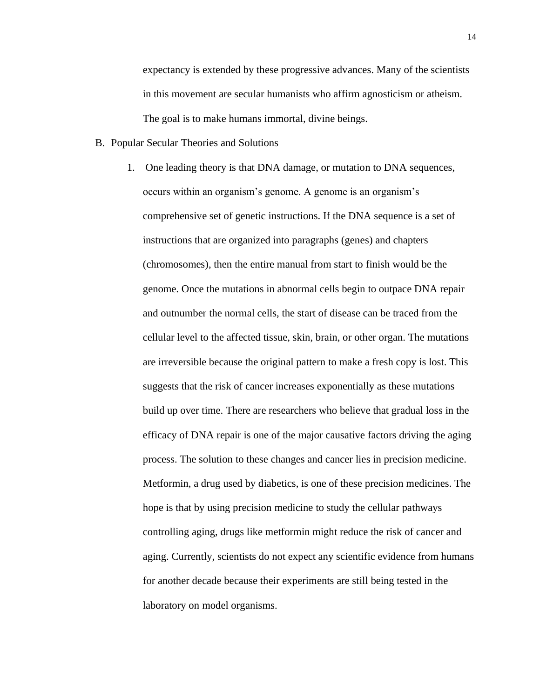expectancy is extended by these progressive advances. Many of the scientists in this movement are secular humanists who affirm agnosticism or atheism. The goal is to make humans immortal, divine beings.

- B. Popular Secular Theories and Solutions
	- 1. One leading theory is that DNA damage, or mutation to DNA sequences, occurs within an organism's genome. A genome is an organism's comprehensive set of genetic instructions. If the DNA sequence is a set of instructions that are organized into paragraphs (genes) and chapters (chromosomes), then the entire manual from start to finish would be the genome. Once the mutations in abnormal cells begin to outpace DNA repair and outnumber the normal cells, the start of disease can be traced from the cellular level to the affected tissue, skin, brain, or other organ. The mutations are irreversible because the original pattern to make a fresh copy is lost. This suggests that the risk of cancer increases exponentially as these mutations build up over time. There are researchers who believe that gradual loss in the efficacy of DNA repair is one of the major causative factors driving the aging process. The solution to these changes and cancer lies in precision medicine. Metformin, a drug used by diabetics, is one of these precision medicines. The hope is that by using precision medicine to study the cellular pathways controlling aging, drugs like metformin might reduce the risk of cancer and aging. Currently, scientists do not expect any scientific evidence from humans for another decade because their experiments are still being tested in the laboratory on model organisms.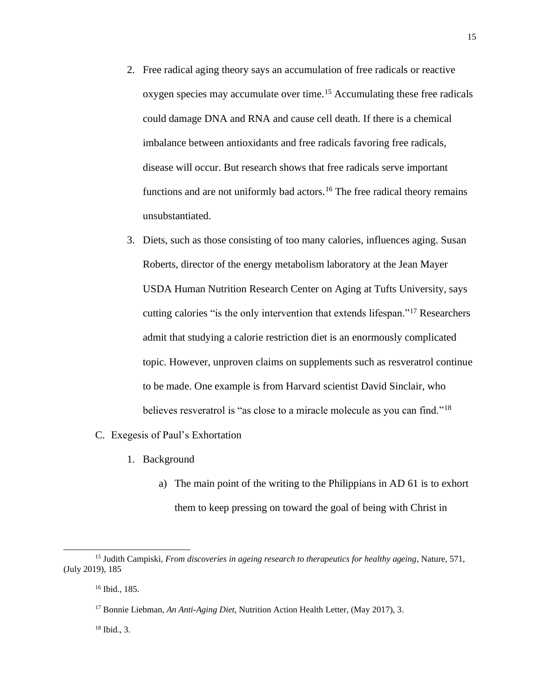- 2. Free radical aging theory says an accumulation of free radicals or reactive oxygen species may accumulate over time.<sup>15</sup> Accumulating these free radicals could damage DNA and RNA and cause cell death. If there is a chemical imbalance between antioxidants and free radicals favoring free radicals, disease will occur. But research shows that free radicals serve important functions and are not uniformly bad actors.<sup>16</sup> The free radical theory remains unsubstantiated.
- 3. Diets, such as those consisting of too many calories, influences aging. Susan Roberts, director of the energy metabolism laboratory at the Jean Mayer USDA Human Nutrition Research Center on Aging at Tufts University, says cutting calories "is the only intervention that extends lifespan."<sup>17</sup> Researchers admit that studying a calorie restriction diet is an enormously complicated topic. However, unproven claims on supplements such as resveratrol continue to be made. One example is from Harvard scientist David Sinclair, who believes resveratrol is "as close to a miracle molecule as you can find."<sup>18</sup>
- C. Exegesis of Paul's Exhortation
	- 1. Background
		- a) The main point of the writing to the Philippians in AD 61 is to exhort them to keep pressing on toward the goal of being with Christ in

<sup>15</sup> Judith Campiski, *From discoveries in ageing research to therapeutics for healthy ageing*, Nature, 571, (July 2019), 185

<sup>16</sup> Ibid., 185.

<sup>17</sup> Bonnie Liebman, *An Anti-Aging Diet*, Nutrition Action Health Letter, (May 2017), 3.

<sup>18</sup> Ibid., 3.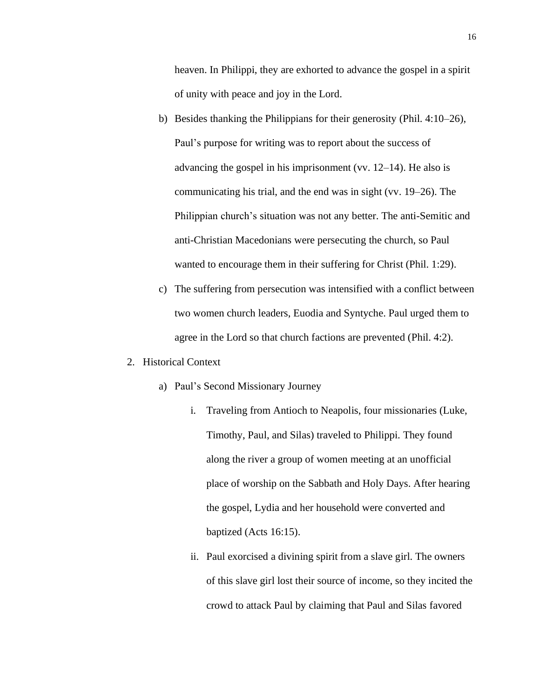heaven. In Philippi, they are exhorted to advance the gospel in a spirit of unity with peace and joy in the Lord.

- b) Besides thanking the Philippians for their generosity (Phil. 4:10–26), Paul's purpose for writing was to report about the success of advancing the gospel in his imprisonment (vv. 12–14). He also is communicating his trial, and the end was in sight (vv. 19–26). The Philippian church's situation was not any better. The anti-Semitic and anti-Christian Macedonians were persecuting the church, so Paul wanted to encourage them in their suffering for Christ (Phil. 1:29).
- c) The suffering from persecution was intensified with a conflict between two women church leaders, Euodia and Syntyche. Paul urged them to agree in the Lord so that church factions are prevented (Phil. 4:2).
- 2. Historical Context
	- a) Paul's Second Missionary Journey
		- i. Traveling from Antioch to Neapolis, four missionaries (Luke, Timothy, Paul, and Silas) traveled to Philippi. They found along the river a group of women meeting at an unofficial place of worship on the Sabbath and Holy Days. After hearing the gospel, Lydia and her household were converted and baptized (Acts 16:15).
		- ii. Paul exorcised a divining spirit from a slave girl. The owners of this slave girl lost their source of income, so they incited the crowd to attack Paul by claiming that Paul and Silas favored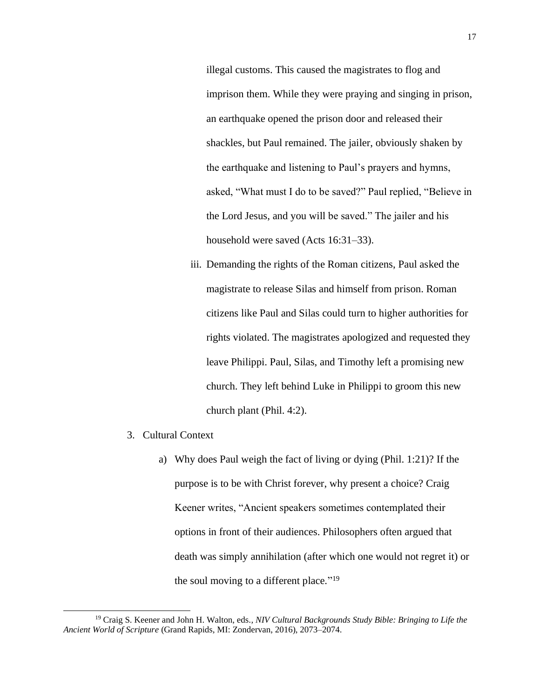illegal customs. This caused the magistrates to flog and imprison them. While they were praying and singing in prison, an earthquake opened the prison door and released their shackles, but Paul remained. The jailer, obviously shaken by the earthquake and listening to Paul's prayers and hymns, asked, "What must I do to be saved?" Paul replied, "Believe in the Lord Jesus, and you will be saved." The jailer and his household were saved (Acts 16:31–33).

- iii. Demanding the rights of the Roman citizens, Paul asked the magistrate to release Silas and himself from prison. Roman citizens like Paul and Silas could turn to higher authorities for rights violated. The magistrates apologized and requested they leave Philippi. Paul, Silas, and Timothy left a promising new church. They left behind Luke in Philippi to groom this new church plant (Phil. 4:2).
- 3. Cultural Context
	- a) Why does Paul weigh the fact of living or dying (Phil. 1:21)? If the purpose is to be with Christ forever, why present a choice? Craig Keener writes, "Ancient speakers sometimes contemplated their options in front of their audiences. Philosophers often argued that death was simply annihilation (after which one would not regret it) or the soul moving to a different place."<sup>19</sup>

<sup>19</sup> Craig S. Keener and John H. Walton, eds*.[, NIV Cultural Backgrounds Study Bible: Bringing to Life the](https://ref.ly/logosres/nvcltrlbcbblnts?ref=BibleNIV.Php1.20-23&off=86&ctx=orn+between+the+two.~+Ancient+speakers+so)  [Ancient World of Scripture](https://ref.ly/logosres/nvcltrlbcbblnts?ref=BibleNIV.Php1.20-23&off=86&ctx=orn+between+the+two.~+Ancient+speakers+so)* (Grand Rapids, MI: Zondervan, 2016), 2073–2074.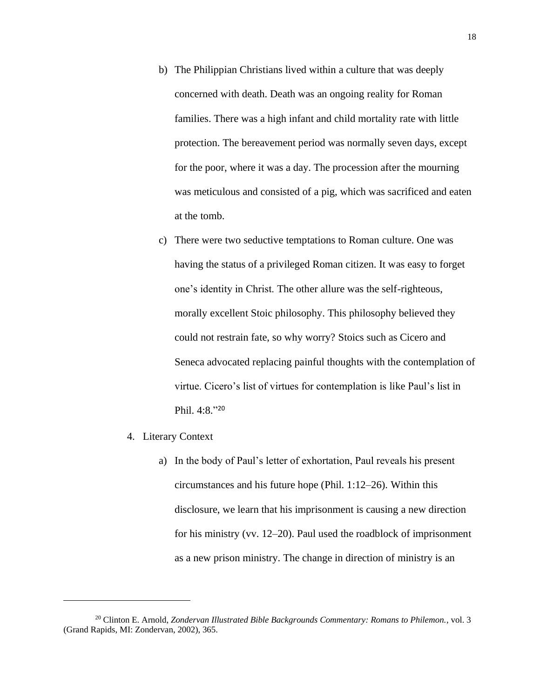- b) The Philippian Christians lived within a culture that was deeply concerned with death. Death was an ongoing reality for Roman families. There was a high infant and child mortality rate with little protection. The bereavement period was normally seven days, except for the poor, where it was a day. The procession after the mourning was meticulous and consisted of a pig, which was sacrificed and eaten at the tomb.
- c) There were two seductive temptations to Roman culture. One was having the status of a privileged Roman citizen. It was easy to forget one's identity in Christ. The other allure was the self-righteous, morally excellent Stoic philosophy. This philosophy believed they could not restrain fate, so why worry? Stoics such as Cicero and Seneca advocated replacing painful thoughts with the contemplation of virtue. Cicero's list of virtues for contemplation is like Paul's list in Phil. 4:8." 20
- 4. Literary Context
	- a) In the body of Paul's letter of exhortation, Paul reveals his present circumstances and his future hope (Phil. 1:12–26). Within this disclosure, we learn that his imprisonment is causing a new direction for his ministry (vv. 12–20). Paul used the roadblock of imprisonment as a new prison ministry. The change in direction of ministry is an

<sup>20</sup> Clinton E. Arnold, *[Zondervan Illustrated Bible Backgrounds Commentary: Romans to Philemon.](https://ref.ly/logosres/zibbcnt03?ref=Bible.Php4.8&off=377&ctx=to+the+pleasurable.+~Stoics%2c+such+as+Cice)*, vol. 3 (Grand Rapids, MI: Zondervan, 2002), 365.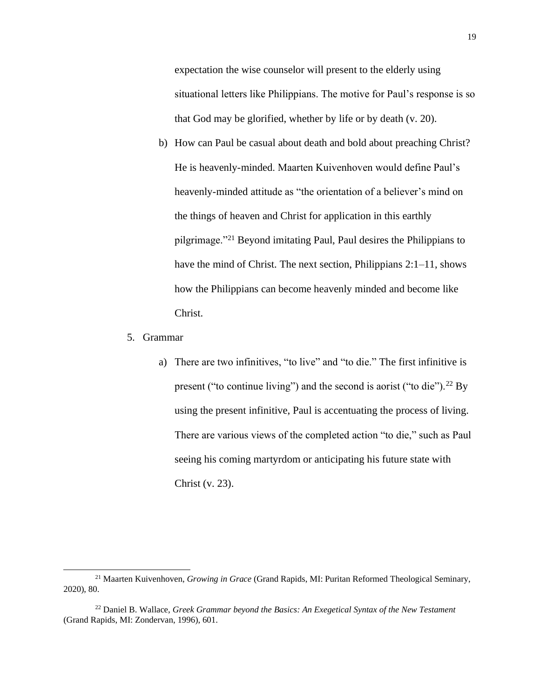expectation the wise counselor will present to the elderly using situational letters like Philippians. The motive for Paul's response is so that God may be glorified, whether by life or by death (v. 20).

- b) How can Paul be casual about death and bold about preaching Christ? He is heavenly-minded. Maarten Kuivenhoven would define Paul's heavenly-minded attitude as "the orientation of a believer's mind on the things of heaven and Christ for application in this earthly pilgrimage."<sup>21</sup> Beyond imitating Paul, Paul desires the Philippians to have the mind of Christ. The next section, Philippians 2:1–11, shows how the Philippians can become heavenly minded and become like Christ.
- 5. Grammar
	- a) There are two infinitives, "to live" and "to die." The first infinitive is present ("to continue living") and the second is aorist ("to die").<sup>22</sup> By using the present infinitive, Paul is accentuating the process of living. There are various views of the completed action "to die," such as Paul seeing his coming martyrdom or anticipating his future state with Christ (v. 23).

<sup>21</sup> Maarten Kuivenhoven, *Growing in Grace* (Grand Rapids, MI: Puritan Reformed Theological Seminary, 2020), 80.

<sup>22</sup> Daniel B. Wallace, *Greek Grammar beyond the [Basics: An Exegetical Syntax of the New Testament](https://ref.ly/logosres/grkgrambbwallace?ref=GreekGrammar.GGBTB+23.2.2.a.4&off=721&ctx=+subject.%0aPhil+1%3a21+~%CE%B5%CC%93%CE%BC%CE%BF%CE%B9%CC%80+%CE%B3%CE%B1%CC%80%CF%81+%CF%84%CE%BF%CC%80+%CE%B6%CE%B7%CD%82%CE%BD)* (Grand Rapids, MI: Zondervan, 1996), 601.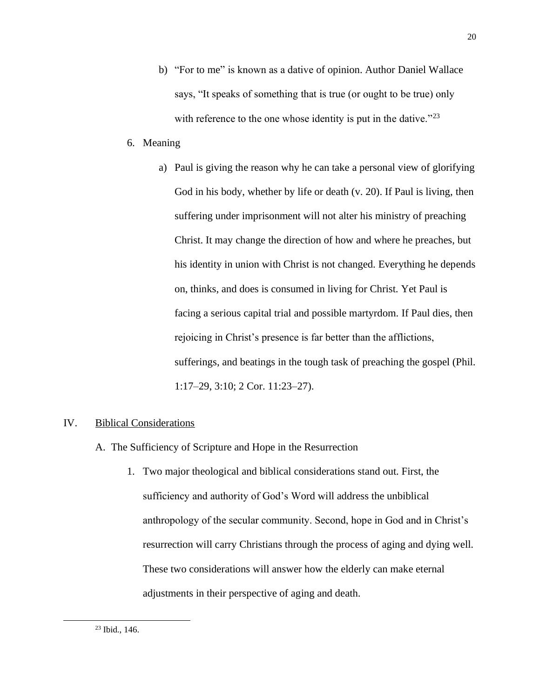b) "For to me" is known as a dative of opinion. Author Daniel Wallace says, "It speaks of something that is true (or ought to be true) only with reference to the one whose identity is put in the dative."<sup>23</sup>

## 6. Meaning

a) Paul is giving the reason why he can take a personal view of glorifying God in his body, whether by life or death (v. 20). If Paul is living, then suffering under imprisonment will not alter his ministry of preaching Christ. It may change the direction of how and where he preaches, but his identity in union with Christ is not changed. Everything he depends on, thinks, and does is consumed in living for Christ. Yet Paul is facing a serious capital trial and possible martyrdom. If Paul dies, then rejoicing in Christ's presence is far better than the afflictions, sufferings, and beatings in the tough task of preaching the gospel (Phil. 1:17–29, 3:10; 2 Cor. 11:23–27).

## IV. Biblical Considerations

- A. The Sufficiency of Scripture and Hope in the Resurrection
	- 1. Two major theological and biblical considerations stand out. First, the sufficiency and authority of God's Word will address the unbiblical anthropology of the secular community. Second, hope in God and in Christ's resurrection will carry Christians through the process of aging and dying well. These two considerations will answer how the elderly can make eternal adjustments in their perspective of aging and death.

<sup>23</sup> Ibid., 146.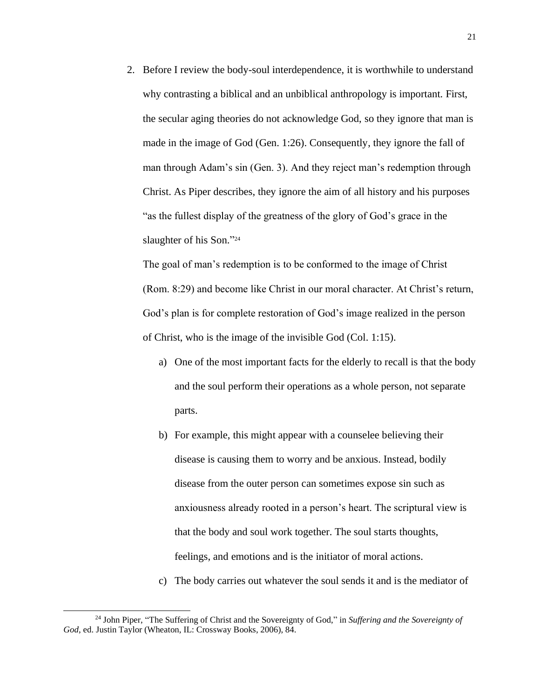2. Before I review the body-soul interdependence, it is worthwhile to understand why contrasting a biblical and an unbiblical anthropology is important. First, the secular aging theories do not acknowledge God, so they ignore that man is made in the image of God (Gen. 1:26). Consequently, they ignore the fall of man through Adam's sin (Gen. 3). And they reject man's redemption through Christ. As Piper describes, they ignore the aim of all history and his purposes "as the fullest display of the greatness of the glory of God's grace in the slaughter of his Son."<sup>24</sup>

The goal of man's redemption is to be conformed to the image of Christ (Rom. 8:29) and become like Christ in our moral character. At Christ's return, God's plan is for complete restoration of God's image realized in the person of Christ, who is the image of the invisible God (Col. 1:15).

- a) One of the most important facts for the elderly to recall is that the body and the soul perform their operations as a whole person, not separate parts.
- b) For example, this might appear with a counselee believing their disease is causing them to worry and be anxious. Instead, bodily disease from the outer person can sometimes expose sin such as anxiousness already rooted in a person's heart. The scriptural view is that the body and soul work together. The soul starts thoughts, feelings, and emotions and is the initiator of moral actions.
- c) The body carries out whatever the soul sends it and is the mediator of

<sup>24</sup> John Piper[, "The Suffering of Christ and the Sovereignty of God,"](https://ref.ly/logosres/sffrngsvrgntygd?ref=Page.p+84&off=1803&ctx=ess+of+the+glory+of+~God%E2%80%99s+grace+in+the+s) in *Suffering and the Sovereignty of God*, ed. Justin Taylor (Wheaton, IL: Crossway Books, 2006), 84.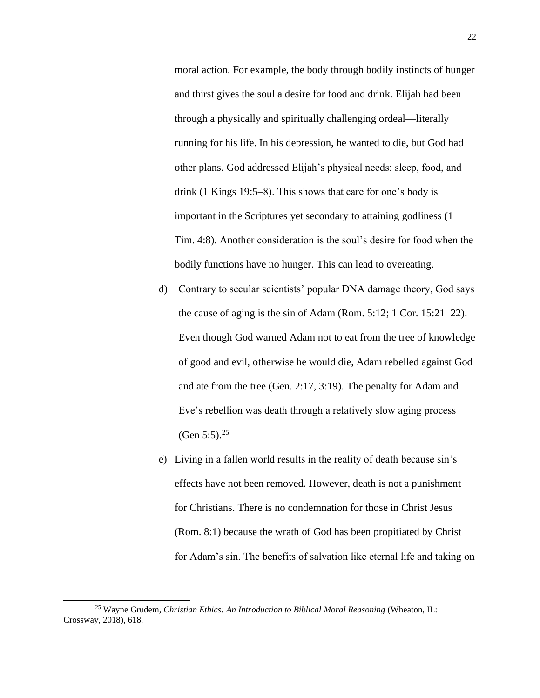moral action. For example, the body through bodily instincts of hunger and thirst gives the soul a desire for food and drink. Elijah had been through a physically and spiritually challenging ordeal—literally running for his life. In his depression, he wanted to die, but God had other plans. God addressed Elijah's physical needs: sleep, food, and drink (1 Kings 19:5–8). This shows that care for one's body is important in the Scriptures yet secondary to attaining godliness (1 Tim. 4:8). Another consideration is the soul's desire for food when the bodily functions have no hunger. This can lead to overeating.

- d) Contrary to secular scientists' popular DNA damage theory, God says the cause of aging is the sin of Adam (Rom. 5:12; 1 Cor. 15:21–22). Even though God warned Adam not to eat from the tree of knowledge of good and evil, otherwise he would die, Adam rebelled against God and ate from the tree (Gen. 2:17, 3:19). The penalty for Adam and Eve's rebellion was death through a relatively slow aging process (Gen 5:5).<sup>25</sup>
- e) Living in a fallen world results in the reality of death because sin's effects have not been removed. However, death is not a punishment for Christians. There is no condemnation for those in Christ Jesus (Rom. 8:1) because the wrath of God has been propitiated by Christ for Adam's sin. The benefits of salvation like eternal life and taking on

<sup>25</sup> Wayne Grudem, *[Christian Ethics: An Introduction to Biblical Moral Reasoning](https://ref.ly/logosres/chrstnthcsrsnng?ref=Page.p+618&off=355&ctx=s+still+incomplete.+~Death+will+be+the+la)* (Wheaton, IL: Crossway, 2018), 618.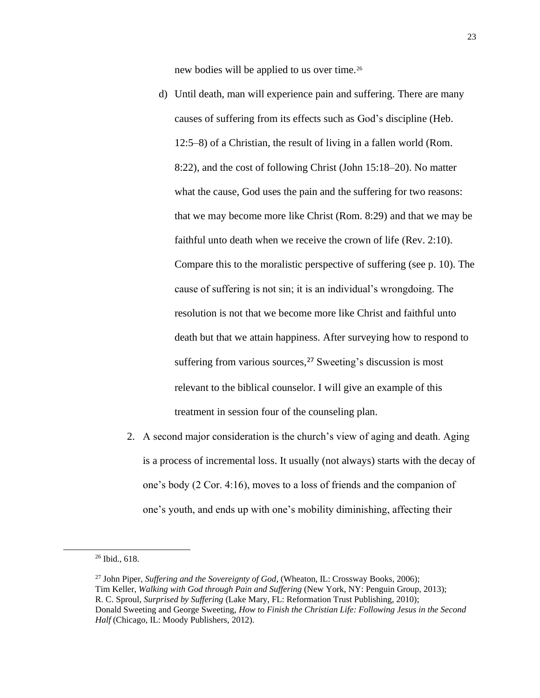new bodies will be applied to us over time.<sup>26</sup>

- d) Until death, man will experience pain and suffering. There are many causes of suffering from its effects such as God's discipline (Heb. 12:5–8) of a Christian, the result of living in a fallen world (Rom. 8:22), and the cost of following Christ (John 15:18–20). No matter what the cause, God uses the pain and the suffering for two reasons: that we may become more like Christ (Rom. 8:29) and that we may be faithful unto death when we receive the crown of life (Rev. 2:10). Compare this to the moralistic perspective of suffering (see p. 10). The cause of suffering is not sin; it is an individual's wrongdoing. The resolution is not that we become more like Christ and faithful unto death but that we attain happiness. After surveying how to respond to suffering from various sources,<sup>27</sup> Sweeting's discussion is most relevant to the biblical counselor. I will give an example of this treatment in session four of the counseling plan.
- 2. A second major consideration is the church's view of aging and death. Aging is a process of incremental loss. It usually (not always) starts with the decay of one's body (2 Cor. 4:16), moves to a loss of friends and the companion of one's youth, and ends up with one's mobility diminishing, affecting their

<sup>26</sup> Ibid., 618.

<sup>27</sup> John Piper, *Suffering and the Sovereignty of God*, (Wheaton, IL: Crossway Books, 2006); Tim Keller, *Walking with God through Pain and Suffering* (New York, NY: Penguin Group, 2013); R. C. Sproul, *[Surprised by Suffering](https://ref.ly/logosres/surpsuffer?ref=Page.p+128&off=717&ctx=ows+from+the+temple.~+In+John%E2%80%99s+vision%2c+i)* (Lake Mary, FL: Reformation Trust Publishing, 2010); Donald Sweeting and George Sweeting, *[How to Finish the Christian Life: Following Jesus in the Second](https://ref.ly/logosres/9780802482976?art=r15&off=9487&ctx=NOW+ABOUT+SUFFERING%0a~While+we+all+have+ma)  [Half](https://ref.ly/logosres/9780802482976?art=r15&off=9487&ctx=NOW+ABOUT+SUFFERING%0a~While+we+all+have+ma)* (Chicago, IL: Moody Publishers, 2012).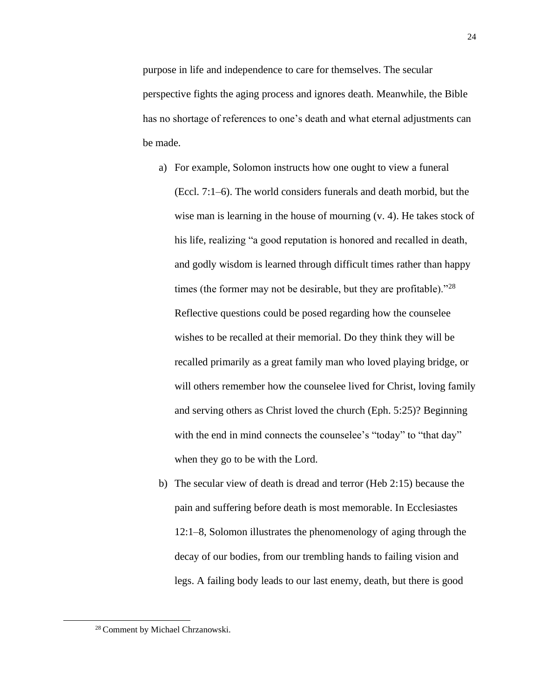purpose in life and independence to care for themselves. The secular perspective fights the aging process and ignores death. Meanwhile, the Bible has no shortage of references to one's death and what eternal adjustments can be made.

- a) For example, Solomon instructs how one ought to view a funeral (Eccl. 7:1–6). The world considers funerals and death morbid, but the wise man is learning in the house of mourning (v. 4). He takes stock of his life, realizing "a good reputation is honored and recalled in death, and godly wisdom is learned through difficult times rather than happy times (the former may not be desirable, but they are profitable)."<sup>28</sup> Reflective questions could be posed regarding how the counselee wishes to be recalled at their memorial. Do they think they will be recalled primarily as a great family man who loved playing bridge, or will others remember how the counselee lived for Christ, loving family and serving others as Christ loved the church (Eph. 5:25)? Beginning with the end in mind connects the counselee's "today" to "that day" when they go to be with the Lord.
- b) The secular view of death is dread and terror (Heb 2:15) because the pain and suffering before death is most memorable. In Ecclesiastes 12:1–8, Solomon illustrates the phenomenology of aging through the decay of our bodies, from our trembling hands to failing vision and legs. A failing body leads to our last enemy, death, but there is good

<sup>28</sup> Comment by Michael Chrzanowski.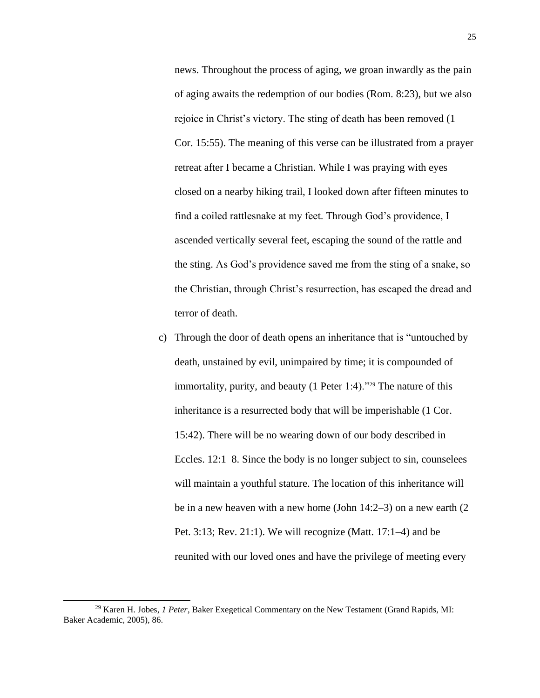news. Throughout the process of aging, we groan inwardly as the pain of aging awaits the redemption of our bodies (Rom. 8:23), but we also rejoice in Christ's victory. The sting of death has been removed (1 Cor. 15:55). The meaning of this verse can be illustrated from a prayer retreat after I became a Christian. While I was praying with eyes closed on a nearby hiking trail, I looked down after fifteen minutes to find a coiled rattlesnake at my feet. Through God's providence, I ascended vertically several feet, escaping the sound of the rattle and the sting. As God's providence saved me from the sting of a snake, so the Christian, through Christ's resurrection, has escaped the dread and terror of death.

c) Through the door of death opens an inheritance that is "untouched by death, unstained by evil, unimpaired by time; it is compounded of immortality, purity, and beauty (1 Peter 1:4)."<sup>29</sup> The nature of this inheritance is a resurrected body that will be imperishable (1 Cor. 15:42). There will be no wearing down of our body described in Eccles. 12:1–8. Since the body is no longer subject to sin, counselees will maintain a youthful stature. The location of this inheritance will be in a new heaven with a new home (John 14:2–3) on a new earth (2 Pet. 3:13; Rev. 21:1). We will recognize (Matt. 17:1–4) and be reunited with our loved ones and have the privilege of meeting every

<sup>29</sup> Karen H. Jobes, *[1 Peter](https://ref.ly/logosres/becnt81pet1?ref=Bible.1Pe1.3-4&off=12937&ctx=+the+inheritance+is+~untouched+by+death%2c+)*, Baker Exegetical Commentary on the New Testament (Grand Rapids, MI: Baker Academic, 2005), 86.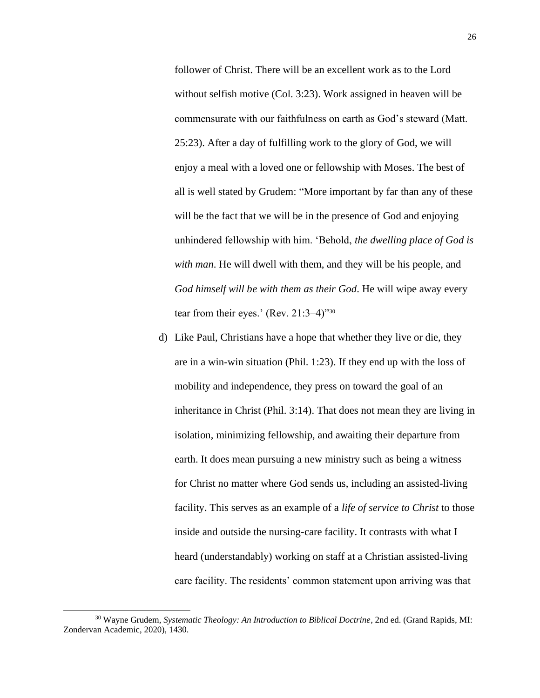follower of Christ. There will be an excellent work as to the Lord without selfish motive (Col. 3:23). Work assigned in heaven will be commensurate with our faithfulness on earth as God's steward (Matt. 25:23). After a day of fulfilling work to the glory of God, we will enjoy a meal with a loved one or fellowship with Moses. The best of all is well stated by Grudem: "More important by far than any of these will be the fact that we will be in the presence of God and enjoying unhindered fellowship with him. 'Behold, *the dwelling place of God is with man*. He will dwell with them, and they will be his people, and *God himself will be with them as their God*. He will wipe away every tear from their eyes.' (Rev. 21:3–4)"<sup>30</sup>

d) Like Paul, Christians have a hope that whether they live or die, they are in a win-win situation (Phil. 1:23). If they end up with the loss of mobility and independence, they press on toward the goal of an inheritance in Christ (Phil. 3:14). That does not mean they are living in isolation, minimizing fellowship, and awaiting their departure from earth. It does mean pursuing a new ministry such as being a witness for Christ no matter where God sends us, including an assisted-living facility. This serves as an example of a *life of service to Christ* to those inside and outside the nursing-care facility. It contrasts with what I heard (understandably) working on staff at a Christian assisted-living care facility. The residents' common statement upon arriving was that

<sup>30</sup> Wayne Grudem, *[Systematic Theology: An Introduction to Biblical Doctrine](https://ref.ly/logosres/grudemst2ed?ref=Page.p+1430&off=2127&ctx=+over+God%E2%80%99s+kingdom%E2%80%94~more+important+by+fa)*, 2nd ed. (Grand Rapids, MI: Zondervan Academic, 2020), 1430.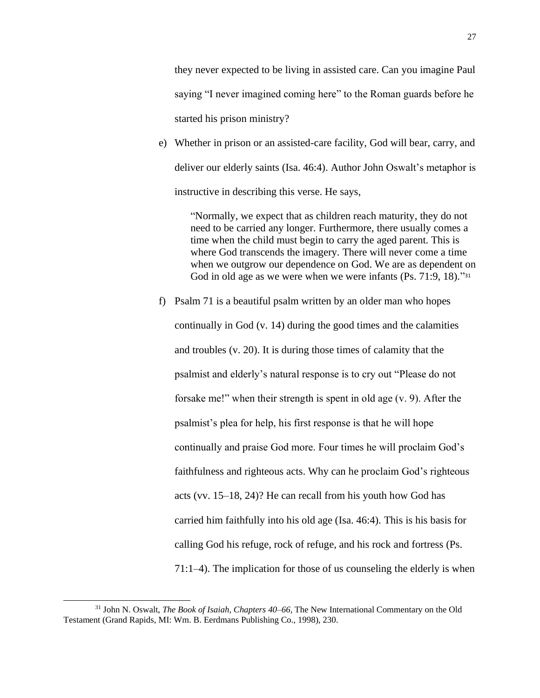they never expected to be living in assisted care. Can you imagine Paul saying "I never imagined coming here" to the Roman guards before he started his prison ministry?

e) Whether in prison or an assisted-care facility, God will bear, carry, and deliver our elderly saints (Isa. 46:4). Author John Oswalt's metaphor is instructive in describing this verse. He says,

> "Normally, we expect that as children reach maturity, they do not need to be carried any longer. Furthermore, there usually comes a time when the child must begin to carry the aged parent. This is where God transcends the imagery. There will never come a time when we outgrow our dependence on God. We are as dependent on God in old age as we were when we were infants (Ps. 71:9, 18)."<sup>31</sup>

f) Psalm 71 is a beautiful psalm written by an older man who hopes continually in God (v. 14) during the good times and the calamities and troubles (v. 20). It is during those times of calamity that the psalmist and elderly's natural response is to cry out "Please do not forsake me!" when their strength is spent in old age (v. 9). After the psalmist's plea for help, his first response is that he will hope continually and praise God more. Four times he will proclaim God's faithfulness and righteous acts. Why can he proclaim God's righteous acts (vv. 15–18, 24)? He can recall from his youth how God has carried him faithfully into his old age (Isa. 46:4). This is his basis for calling God his refuge, rock of refuge, and his rock and fortress (Ps. 71:1–4). The implication for those of us counseling the elderly is when

<sup>31</sup> John N. Oswalt, *[The Book of Isaiah, Chapters 40–66,](https://ref.ly/logosres/nicot23is2?ref=BibleBHS.Is46.3-4&off=1034&ctx=+as+he+does+nature.+~Normally%2c+we+expect+)* The New International Commentary on the Old Testament (Grand Rapids, MI: Wm. B. Eerdmans Publishing Co., 1998), 230.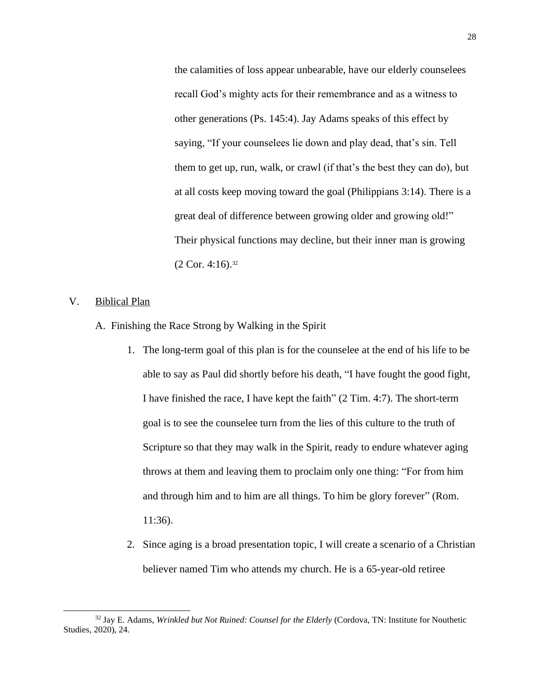the calamities of loss appear unbearable, have our elderly counselees recall God's mighty acts for their remembrance and as a witness to other generations (Ps. 145:4). Jay Adams speaks of this effect by saying, "If your counselees lie down and play dead, that's sin. Tell them to get up, run, walk, or crawl (if that's the best they can do), but at all costs keep moving toward the goal (Philippians 3:14). There is a great deal of difference between growing older and growing old!" Their physical functions may decline, but their inner man is growing  $(2 \text{Cor. } 4:16).^{32}$ 

# V. Biblical Plan

- A. Finishing the Race Strong by Walking in the Spirit
	- 1. The long-term goal of this plan is for the counselee at the end of his life to be able to say as Paul did shortly before his death, "I have fought the good fight, I have finished the race, I have kept the faith" (2 Tim. 4:7). The short-term goal is to see the counselee turn from the lies of this culture to the truth of Scripture so that they may walk in the Spirit, ready to endure whatever aging throws at them and leaving them to proclaim only one thing: "For from him and through him and to him are all things. To him be glory forever" (Rom. 11:36).
	- 2. Since aging is a broad presentation topic, I will create a scenario of a Christian believer named Tim who attends my church. He is a 65-year-old retiree

<sup>32</sup> Jay E. Adams, *Wrinkled but [Not Ruined: Counsel for the Elderly](https://ref.ly/logosres/wrnkldntrnd?ref=Page.p+24&off=415&ctx=ly%2c+not+statically.+~If+your+counselees+l)* (Cordova, TN: Institute for Nouthetic Studies, 2020), 24.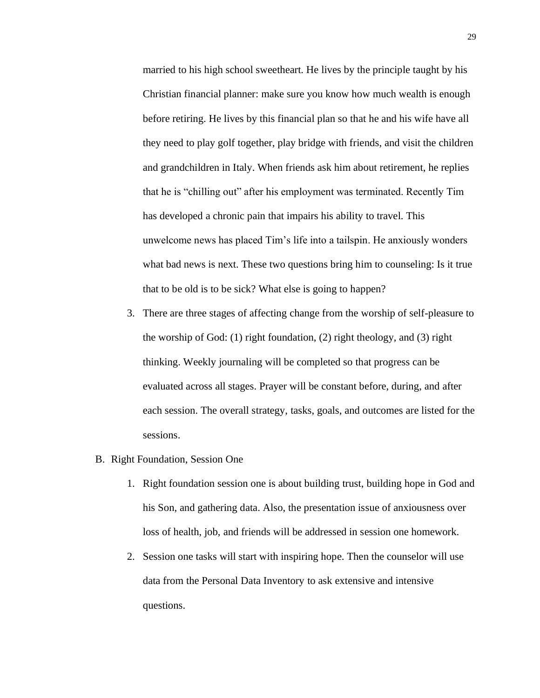married to his high school sweetheart. He lives by the principle taught by his Christian financial planner: make sure you know how much wealth is enough before retiring. He lives by this financial plan so that he and his wife have all they need to play golf together, play bridge with friends, and visit the children and grandchildren in Italy. When friends ask him about retirement, he replies that he is "chilling out" after his employment was terminated. Recently Tim has developed a chronic pain that impairs his ability to travel. This unwelcome news has placed Tim's life into a tailspin. He anxiously wonders what bad news is next. These two questions bring him to counseling: Is it true that to be old is to be sick? What else is going to happen?

- 3. There are three stages of affecting change from the worship of self-pleasure to the worship of God: (1) right foundation, (2) right theology, and (3) right thinking. Weekly journaling will be completed so that progress can be evaluated across all stages. Prayer will be constant before, during, and after each session. The overall strategy, tasks, goals, and outcomes are listed for the sessions.
- B. Right Foundation, Session One
	- 1. Right foundation session one is about building trust, building hope in God and his Son, and gathering data. Also, the presentation issue of anxiousness over loss of health, job, and friends will be addressed in session one homework.
	- 2. Session one tasks will start with inspiring hope. Then the counselor will use data from the Personal Data Inventory to ask extensive and intensive questions.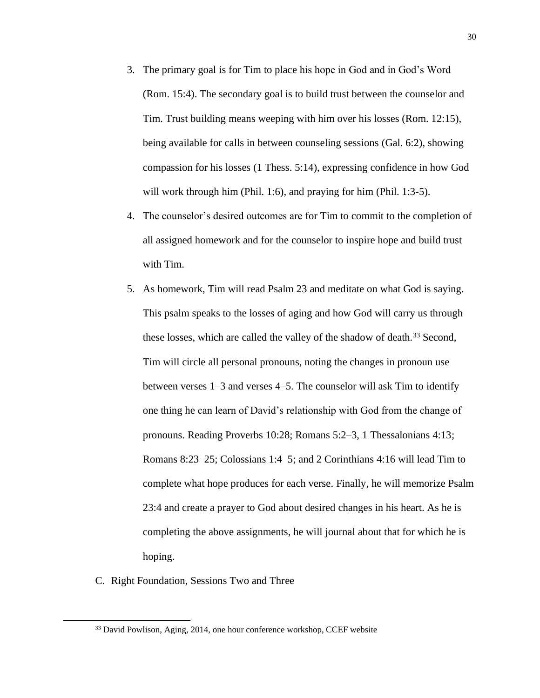- 3. The primary goal is for Tim to place his hope in God and in God's Word (Rom. 15:4). The secondary goal is to build trust between the counselor and Tim. Trust building means weeping with him over his losses (Rom. 12:15), being available for calls in between counseling sessions (Gal. 6:2), showing compassion for his losses (1 Thess. 5:14), expressing confidence in how God will work through him (Phil. 1:6), and praying for him (Phil. 1:3-5).
- 4. The counselor's desired outcomes are for Tim to commit to the completion of all assigned homework and for the counselor to inspire hope and build trust with Tim.
- 5. As homework, Tim will read Psalm 23 and meditate on what God is saying. This psalm speaks to the losses of aging and how God will carry us through these losses, which are called the valley of the shadow of death*.* <sup>33</sup> Second, Tim will circle all personal pronouns, noting the changes in pronoun use between verses 1–3 and verses 4–5. The counselor will ask Tim to identify one thing he can learn of David's relationship with God from the change of pronouns. Reading Proverbs 10:28; Romans 5:2–3, 1 Thessalonians 4:13; Romans 8:23–25; Colossians 1:4–5; and 2 Corinthians 4:16 will lead Tim to complete what hope produces for each verse. Finally, he will memorize Psalm 23:4 and create a prayer to God about desired changes in his heart. As he is completing the above assignments, he will journal about that for which he is hoping.
- C. Right Foundation, Sessions Two and Three

<sup>&</sup>lt;sup>33</sup> David Powlison, Aging, 2014, one hour conference workshop, CCEF website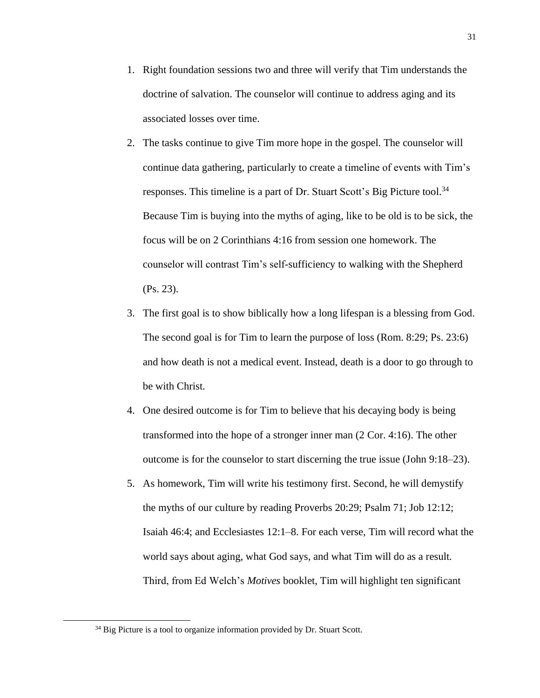- 1. Right foundation sessions two and three will verify that Tim understands the doctrine of salvation. The counselor will continue to address aging and its associated losses over time.
- 2. The tasks continue to give Tim more hope in the gospel. The counselor will continue data gathering, particularly to create a timeline of events with Tim's responses. This timeline is a part of Dr. Stuart Scott's Big Picture tool. 34 Because Tim is buying into the myths of aging, like to be old is to be sick, the focus will be on 2 Corinthians 4:16 from session one homework. The counselor will contrast Tim's self-sufficiency to walking with the Shepherd (Ps. 23).
- 3. The first goal is to show biblically how a long lifespan is a blessing from God. The second goal is for Tim to learn the purpose of loss (Rom. 8:29; Ps. 23:6) and how death is not a medical event. Instead, death is a door to go through to be with Christ.
- 4. One desired outcome is for Tim to believe that his decaying body is being transformed into the hope of a stronger inner man (2 Cor. 4:16). The other outcome is for the counselor to start discerning the true issue (John 9:18–23).
- 5. As homework, Tim will write his testimony first. Second, he will demystify the myths of our culture by reading Proverbs 20:29; Psalm 71; Job 12:12; Isaiah 46:4; and Ecclesiastes 12:1–8. For each verse, Tim will record what the world says about aging, what God says, and what Tim will do as a result. Third, from Ed Welch's *Motives* booklet, Tim will highlight ten significant

<sup>&</sup>lt;sup>34</sup> Big Picture is a tool to organize information provided by Dr. Stuart Scott.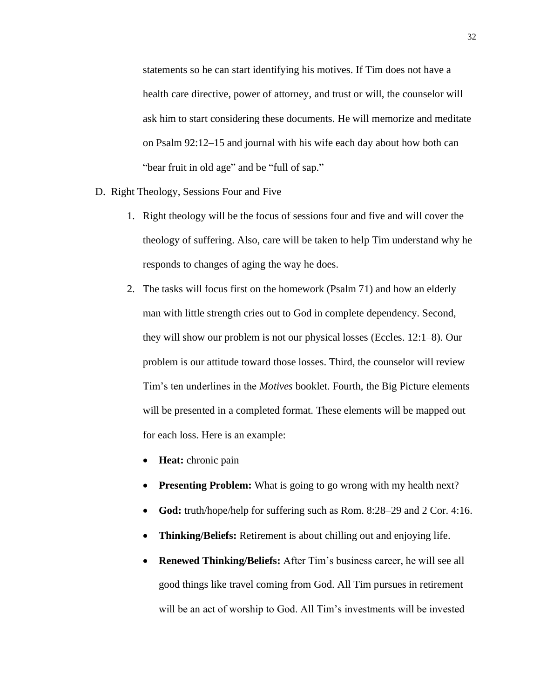statements so he can start identifying his motives. If Tim does not have a health care directive, power of attorney, and trust or will, the counselor will ask him to start considering these documents. He will memorize and meditate on Psalm 92:12–15 and journal with his wife each day about how both can "bear fruit in old age" and be "full of sap."

- D. Right Theology, Sessions Four and Five
	- 1. Right theology will be the focus of sessions four and five and will cover the theology of suffering. Also, care will be taken to help Tim understand why he responds to changes of aging the way he does.
	- 2. The tasks will focus first on the homework (Psalm 71) and how an elderly man with little strength cries out to God in complete dependency. Second, they will show our problem is not our physical losses (Eccles. 12:1–8). Our problem is our attitude toward those losses. Third, the counselor will review Tim's ten underlines in the *Motives* booklet. Fourth, the Big Picture elements will be presented in a completed format. These elements will be mapped out for each loss. Here is an example:
		- **Heat:** chronic pain
		- **Presenting Problem:** What is going to go wrong with my health next?
		- **God:** truth/hope/help for suffering such as Rom. 8:28–29 and 2 Cor. 4:16.
		- **Thinking/Beliefs:** Retirement is about chilling out and enjoying life.
		- **Renewed Thinking/Beliefs:** After Tim's business career, he will see all good things like travel coming from God. All Tim pursues in retirement will be an act of worship to God. All Tim's investments will be invested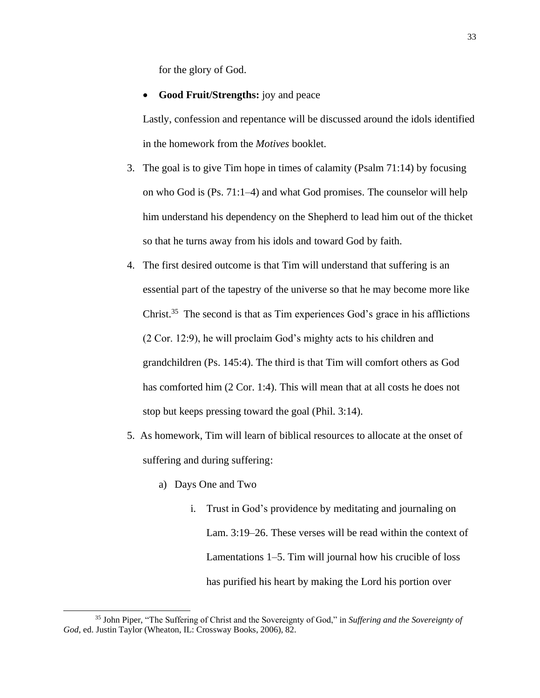for the glory of God.

• **Good Fruit/Strengths:** joy and peace

Lastly, confession and repentance will be discussed around the idols identified in the homework from the *Motives* booklet.

- 3. The goal is to give Tim hope in times of calamity (Psalm 71:14) by focusing on who God is (Ps. 71:1–4) and what God promises. The counselor will help him understand his dependency on the Shepherd to lead him out of the thicket so that he turns away from his idols and toward God by faith.
- 4. The first desired outcome is that Tim will understand that suffering is an essential part of the tapestry of the universe so that he may become more like Christ. <sup>35</sup> The second is that as Tim experiences God's grace in his afflictions (2 Cor. 12:9), he will proclaim God's mighty acts to his children and grandchildren (Ps. 145:4). The third is that Tim will comfort others as God has comforted him (2 Cor. 1:4). This will mean that at all costs he does not stop but keeps pressing toward the goal (Phil. 3:14).
- 5. As homework, Tim will learn of biblical resources to allocate at the onset of suffering and during suffering:
	- a) Days One and Two
		- i. Trust in God's providence by meditating and journaling on Lam. 3:19–26. These verses will be read within the context of Lamentations 1–5. Tim will journal how his crucible of loss has purified his heart by making the Lord his portion over

<sup>35</sup> John Piper, "The Suffering of Christ and the Sovereignty of God," in *Suffering and the Sovereignty of God*, ed. Justin Taylor (Wheaton, IL: Crossway Books, 2006), 82.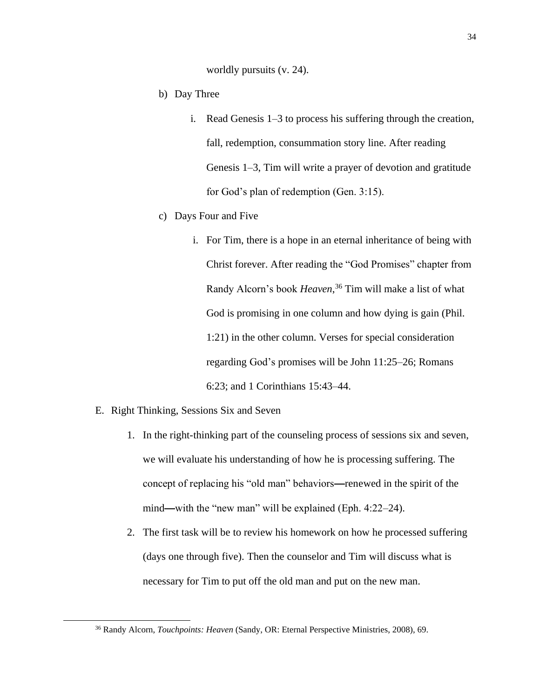worldly pursuits (v. 24).

- b) Day Three
	- i. Read Genesis 1–3 to process his suffering through the creation, fall, redemption, consummation story line. After reading Genesis 1–3, Tim will write a prayer of devotion and gratitude for God's plan of redemption (Gen. 3:15).
- c) Days Four and Five
	- i. For Tim, there is a hope in an eternal inheritance of being with Christ forever. After reading the "God Promises" chapter from Randy Alcorn's book *Heaven*, <sup>36</sup> Tim will make a list of what God is promising in one column and how dying is gain (Phil. 1:21) in the other column. Verses for special consideration regarding God's promises will be John 11:25–26; Romans 6:23; and 1 Corinthians 15:43–44.
- E. Right Thinking, Sessions Six and Seven
	- 1. In the right-thinking part of the counseling process of sessions six and seven, we will evaluate his understanding of how he is processing suffering. The concept of replacing his "old man" behaviors—renewed in the spirit of the mind—with the "new man" will be explained (Eph. 4:22–24).
	- 2. The first task will be to review his homework on how he processed suffering (days one through five). Then the counselor and Tim will discuss what is necessary for Tim to put off the old man and put on the new man.

<sup>36</sup> Randy Alcorn, *Touchpoints: Heaven* (Sandy, OR: Eternal Perspective Ministries, 2008), 69.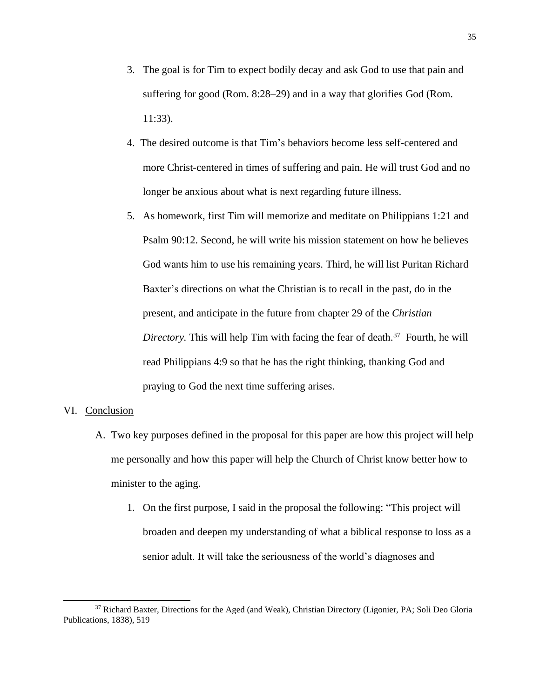- 3. The goal is for Tim to expect bodily decay and ask God to use that pain and suffering for good (Rom. 8:28–29) and in a way that glorifies God (Rom. 11:33).
- 4. The desired outcome is that Tim's behaviors become less self-centered and more Christ-centered in times of suffering and pain. He will trust God and no longer be anxious about what is next regarding future illness.
- 5. As homework, first Tim will memorize and meditate on Philippians 1:21 and Psalm 90:12. Second, he will write his mission statement on how he believes God wants him to use his remaining years. Third, he will list Puritan Richard Baxter's directions on what the Christian is to recall in the past, do in the present, and anticipate in the future from chapter 29 of the *Christian Directory.* This will help Tim with facing the fear of death. <sup>37</sup> Fourth, he will read Philippians 4:9 so that he has the right thinking, thanking God and praying to God the next time suffering arises.

#### VI. Conclusion

- A. Two key purposes defined in the proposal for this paper are how this project will help me personally and how this paper will help the Church of Christ know better how to minister to the aging.
	- 1. On the first purpose, I said in the proposal the following: "This project will broaden and deepen my understanding of what a biblical response to loss as a senior adult. It will take the seriousness of the world's diagnoses and

<sup>37</sup> Richard Baxter, Directions for the Aged (and Weak), Christian Directory (Ligonier, PA; Soli Deo Gloria Publications, 1838), 519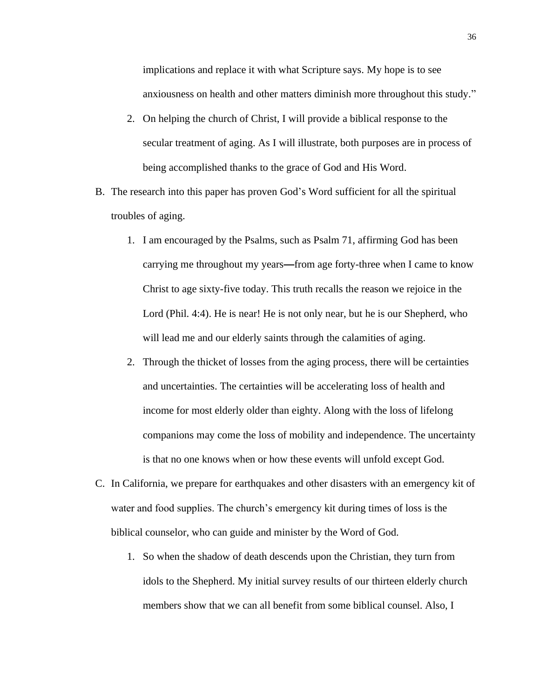implications and replace it with what Scripture says. My hope is to see anxiousness on health and other matters diminish more throughout this study."

- 2. On helping the church of Christ, I will provide a biblical response to the secular treatment of aging. As I will illustrate, both purposes are in process of being accomplished thanks to the grace of God and His Word.
- B. The research into this paper has proven God's Word sufficient for all the spiritual troubles of aging.
	- 1. I am encouraged by the Psalms, such as Psalm 71, affirming God has been carrying me throughout my years—from age forty-three when I came to know Christ to age sixty-five today. This truth recalls the reason we rejoice in the Lord (Phil. 4:4). He is near! He is not only near, but he is our Shepherd, who will lead me and our elderly saints through the calamities of aging.
	- 2. Through the thicket of losses from the aging process, there will be certainties and uncertainties. The certainties will be accelerating loss of health and income for most elderly older than eighty. Along with the loss of lifelong companions may come the loss of mobility and independence. The uncertainty is that no one knows when or how these events will unfold except God.
- C. In California, we prepare for earthquakes and other disasters with an emergency kit of water and food supplies. The church's emergency kit during times of loss is the biblical counselor, who can guide and minister by the Word of God.
	- 1. So when the shadow of death descends upon the Christian, they turn from idols to the Shepherd. My initial survey results of our thirteen elderly church members show that we can all benefit from some biblical counsel. Also, I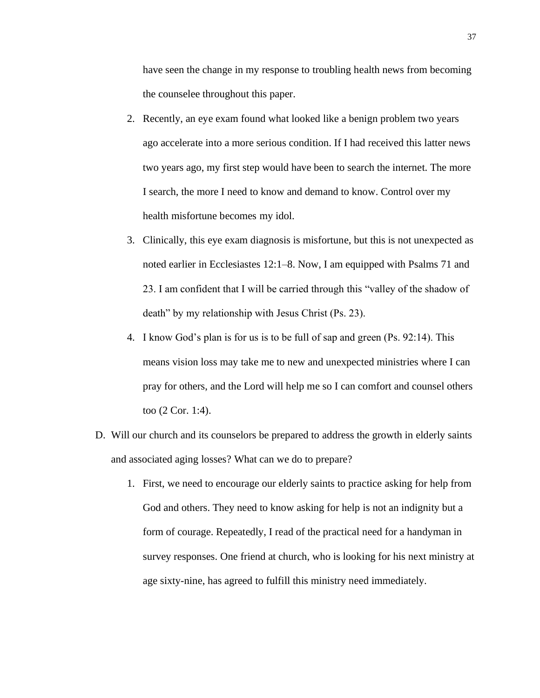have seen the change in my response to troubling health news from becoming the counselee throughout this paper.

- 2. Recently, an eye exam found what looked like a benign problem two years ago accelerate into a more serious condition. If I had received this latter news two years ago, my first step would have been to search the internet. The more I search, the more I need to know and demand to know. Control over my health misfortune becomes my idol.
- 3. Clinically, this eye exam diagnosis is misfortune, but this is not unexpected as noted earlier in Ecclesiastes 12:1–8. Now, I am equipped with Psalms 71 and 23. I am confident that I will be carried through this "valley of the shadow of death" by my relationship with Jesus Christ (Ps. 23).
- 4. I know God's plan is for us is to be full of sap and green (Ps. 92:14). This means vision loss may take me to new and unexpected ministries where I can pray for others, and the Lord will help me so I can comfort and counsel others too (2 Cor. 1:4).
- D. Will our church and its counselors be prepared to address the growth in elderly saints and associated aging losses? What can we do to prepare?
	- 1. First, we need to encourage our elderly saints to practice asking for help from God and others. They need to know asking for help is not an indignity but a form of courage. Repeatedly, I read of the practical need for a handyman in survey responses. One friend at church, who is looking for his next ministry at age sixty-nine, has agreed to fulfill this ministry need immediately.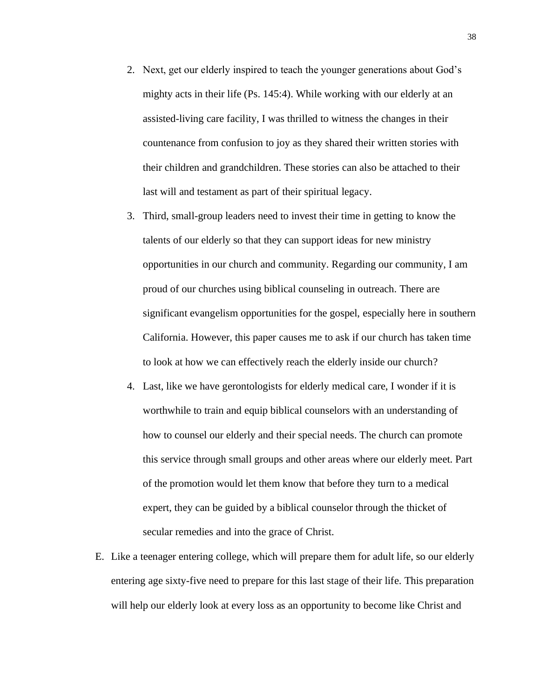- 2. Next, get our elderly inspired to teach the younger generations about God's mighty acts in their life (Ps. 145:4). While working with our elderly at an assisted-living care facility, I was thrilled to witness the changes in their countenance from confusion to joy as they shared their written stories with their children and grandchildren. These stories can also be attached to their last will and testament as part of their spiritual legacy.
- 3. Third, small-group leaders need to invest their time in getting to know the talents of our elderly so that they can support ideas for new ministry opportunities in our church and community. Regarding our community, I am proud of our churches using biblical counseling in outreach. There are significant evangelism opportunities for the gospel, especially here in southern California. However, this paper causes me to ask if our church has taken time to look at how we can effectively reach the elderly inside our church?
- 4. Last, like we have gerontologists for elderly medical care, I wonder if it is worthwhile to train and equip biblical counselors with an understanding of how to counsel our elderly and their special needs. The church can promote this service through small groups and other areas where our elderly meet. Part of the promotion would let them know that before they turn to a medical expert, they can be guided by a biblical counselor through the thicket of secular remedies and into the grace of Christ.
- E. Like a teenager entering college, which will prepare them for adult life, so our elderly entering age sixty-five need to prepare for this last stage of their life. This preparation will help our elderly look at every loss as an opportunity to become like Christ and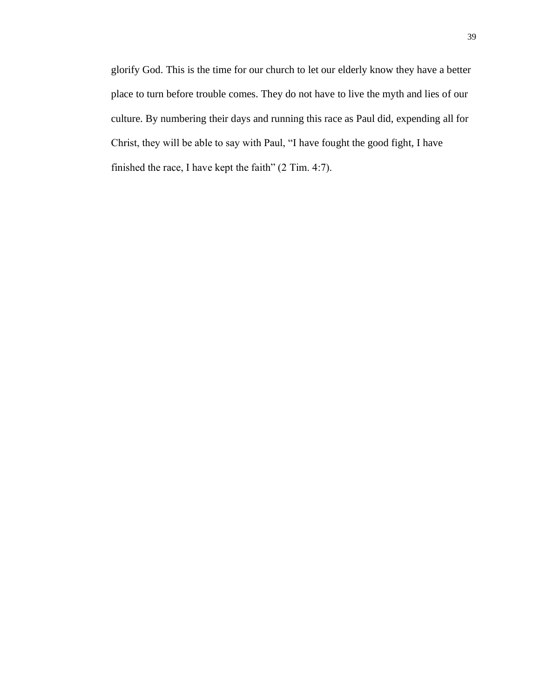glorify God. This is the time for our church to let our elderly know they have a better place to turn before trouble comes. They do not have to live the myth and lies of our culture. By numbering their days and running this race as Paul did, expending all for Christ, they will be able to say with Paul, "I have fought the good fight, I have finished the race, I have kept the faith" (2 Tim. 4:7).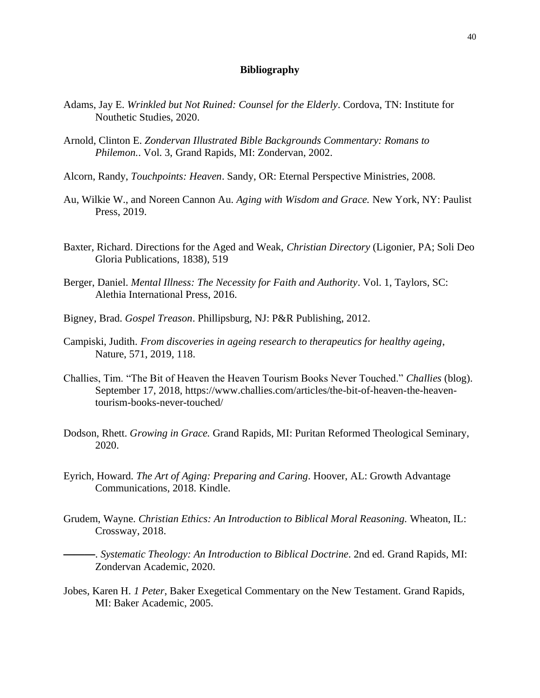## **Bibliography**

- Adams, Jay E. *Wrinkled but Not Ruined: Counsel for the Elderly*. Cordova, TN: Institute for Nouthetic Studies, 2020.
- Arnold, Clinton E. *Zondervan Illustrated Bible Backgrounds Commentary: Romans to Philemon.*. Vol. 3, Grand Rapids, MI: Zondervan, 2002.
- Alcorn, Randy, *Touchpoints: Heaven*. Sandy, OR: Eternal Perspective Ministries, 2008.
- Au, Wilkie W., and Noreen Cannon Au. *Aging with Wisdom and Grace.* New York, NY: Paulist Press, 2019.
- Baxter, Richard. Directions for the Aged and Weak, *Christian Directory* (Ligonier, PA; Soli Deo Gloria Publications, 1838), 519
- Berger, Daniel. *Mental Illness: The Necessity for Faith and Authority*. Vol. 1, Taylors, SC: Alethia International Press, 2016.
- Bigney, Brad. *Gospel Treason*. Phillipsburg, NJ: P&R Publishing, 2012.
- Campiski, Judith. *From discoveries in ageing research to therapeutics for healthy ageing*, Nature, 571, 2019, 118.
- Challies, Tim. "The Bit of Heaven the Heaven Tourism Books Never Touched." *Challies* (blog). September 17, 2018, https://www.challies.com/articles/the-bit-of-heaven-the-heaventourism-books-never-touched/
- Dodson, Rhett. *Growing in Grace.* Grand Rapids, MI: Puritan Reformed Theological Seminary, 2020.
- Eyrich, Howard. *The Art of Aging: Preparing and Caring*. Hoover, AL: Growth Advantage Communications, 2018. Kindle.
- Grudem, Wayne. *[Christian Ethics: An Introduction to Biblical Moral Reasoning.](https://ref.ly/logosres/chrstnthcsrsnng?ref=Page.p+618&off=355&ctx=s+still+incomplete.+~Death+will+be+the+la)* Wheaton, IL: Crossway, 2018.
	- ———. *[Systematic Theology: An Introduction to Biblical Doctrine](https://ref.ly/logosres/grudemst2ed?ref=Page.p+1430&off=2127&ctx=+over+God%E2%80%99s+kingdom%E2%80%94~more+important+by+fa)*. 2nd ed. Grand Rapids, MI: Zondervan Academic, 2020.
- Jobes, Karen H. *[1 Peter](https://ref.ly/logosres/becnt81pet1?ref=Bible.1Pe1.3-4&off=12937&ctx=+the+inheritance+is+~untouched+by+death%2c+)*, Baker Exegetical Commentary on the New Testament. Grand Rapids, MI: Baker Academic, 2005.